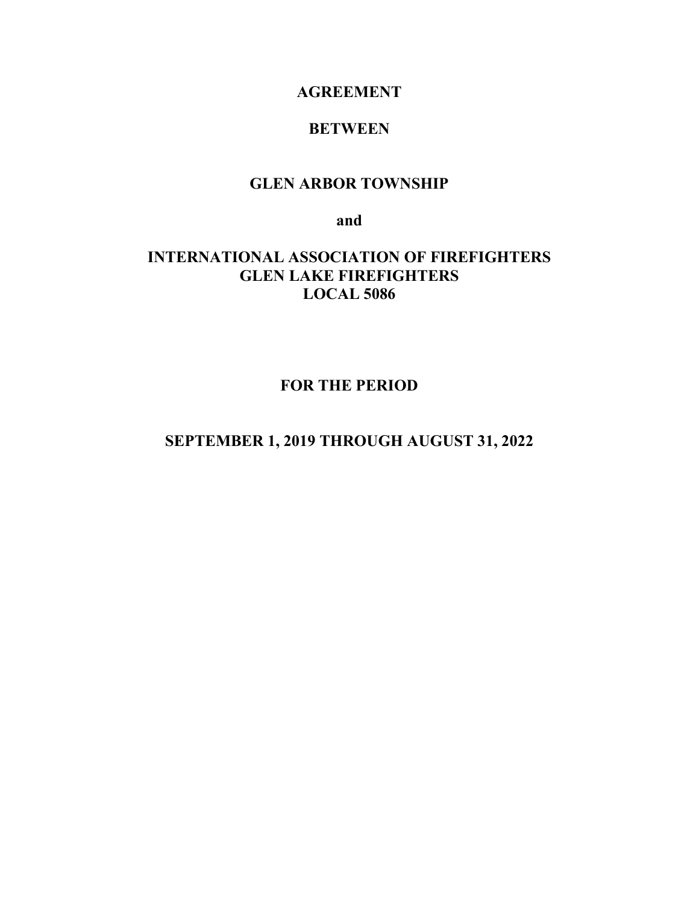# **AGREEMENT**

# **BETWEEN**

# **GLEN ARBOR TOWNSHIP**

**and**

# **INTERNATIONAL ASSOCIATION OF FIREFIGHTERS GLEN LAKE FIREFIGHTERS LOCAL 5086**

**FOR THE PERIOD**

# **SEPTEMBER 1, 2019 THROUGH AUGUST 31, 2022**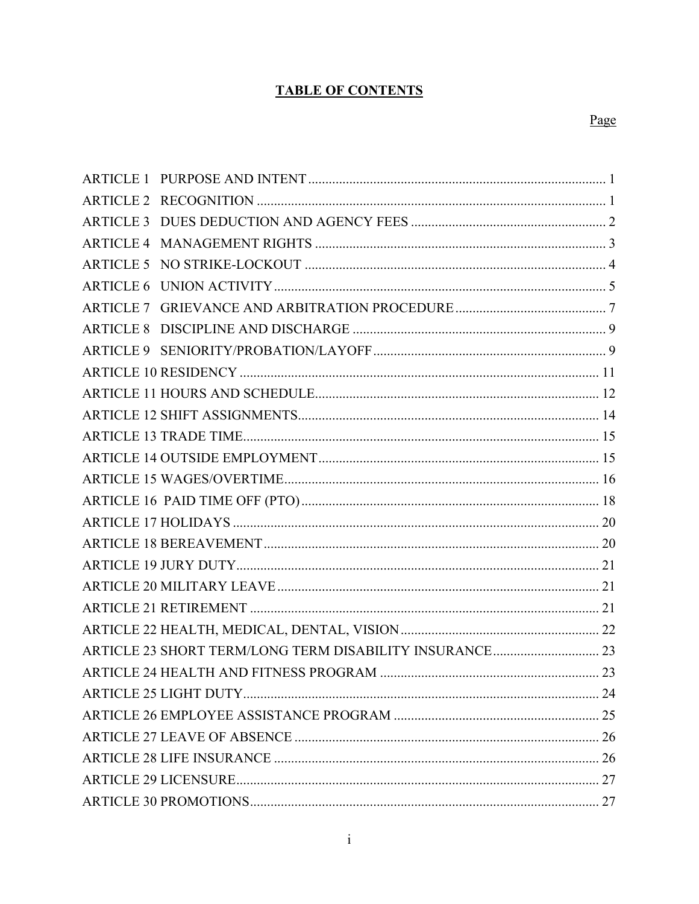# **TABLE OF CONTENTS**

| ARTICLE 23 SHORT TERM/LONG TERM DISABILITY INSURANCE 23 |  |
|---------------------------------------------------------|--|
|                                                         |  |
|                                                         |  |
|                                                         |  |
|                                                         |  |
|                                                         |  |
|                                                         |  |
|                                                         |  |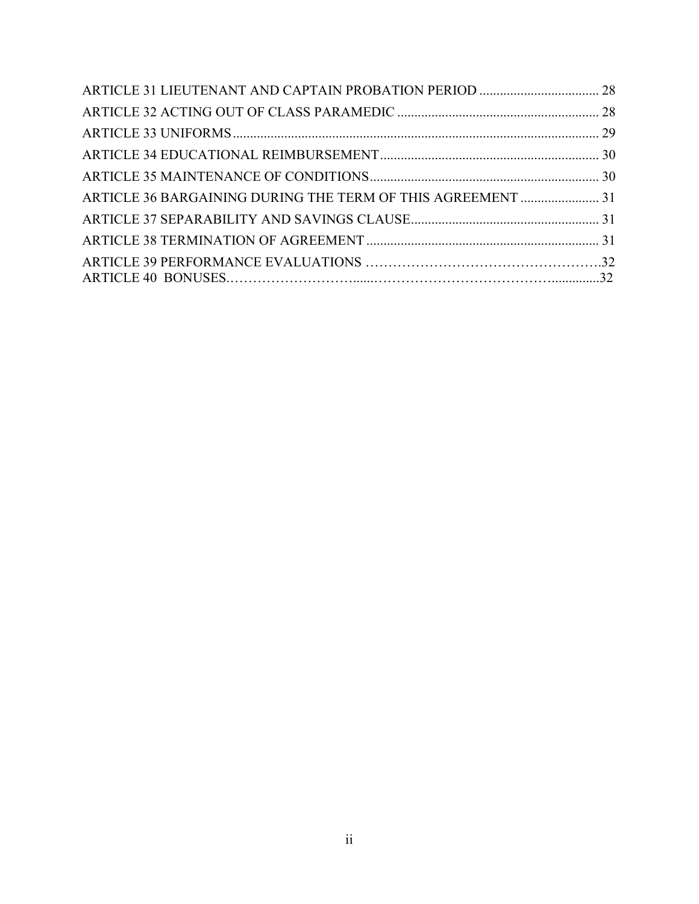| ARTICLE 36 BARGAINING DURING THE TERM OF THIS AGREEMENT  31 |  |
|-------------------------------------------------------------|--|
|                                                             |  |
|                                                             |  |
|                                                             |  |
|                                                             |  |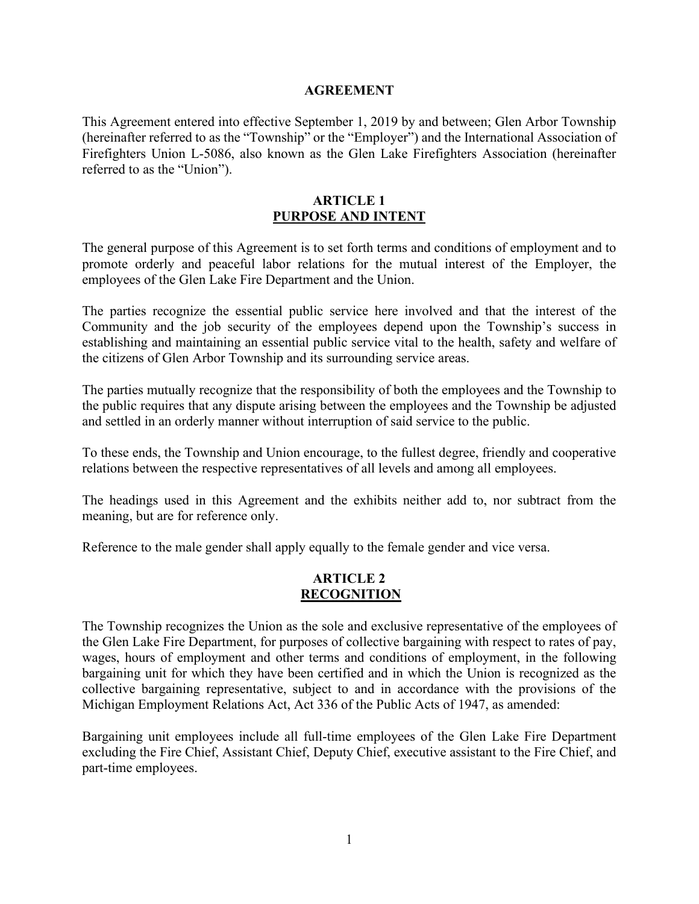#### **AGREEMENT**

This Agreement entered into effective September 1, 2019 by and between; Glen Arbor Township (hereinafter referred to as the "Township" or the "Employer") and the International Association of Firefighters Union L-5086, also known as the Glen Lake Firefighters Association (hereinafter referred to as the "Union").

### <span id="page-3-0"></span>**ARTICLE 1 PURPOSE AND INTENT**

The general purpose of this Agreement is to set forth terms and conditions of employment and to promote orderly and peaceful labor relations for the mutual interest of the Employer, the employees of the Glen Lake Fire Department and the Union.

The parties recognize the essential public service here involved and that the interest of the Community and the job security of the employees depend upon the Township's success in establishing and maintaining an essential public service vital to the health, safety and welfare of the citizens of Glen Arbor Township and its surrounding service areas.

The parties mutually recognize that the responsibility of both the employees and the Township to the public requires that any dispute arising between the employees and the Township be adjusted and settled in an orderly manner without interruption of said service to the public.

To these ends, the Township and Union encourage, to the fullest degree, friendly and cooperative relations between the respective representatives of all levels and among all employees.

The headings used in this Agreement and the exhibits neither add to, nor subtract from the meaning, but are for reference only.

Reference to the male gender shall apply equally to the female gender and vice versa.

# <span id="page-3-1"></span>**ARTICLE 2 RECOGNITION**

The Township recognizes the Union as the sole and exclusive representative of the employees of the Glen Lake Fire Department, for purposes of collective bargaining with respect to rates of pay, wages, hours of employment and other terms and conditions of employment, in the following bargaining unit for which they have been certified and in which the Union is recognized as the collective bargaining representative, subject to and in accordance with the provisions of the Michigan Employment Relations Act, Act 336 of the Public Acts of 1947, as amended:

Bargaining unit employees include all full-time employees of the Glen Lake Fire Department excluding the Fire Chief, Assistant Chief, Deputy Chief, executive assistant to the Fire Chief, and part-time employees.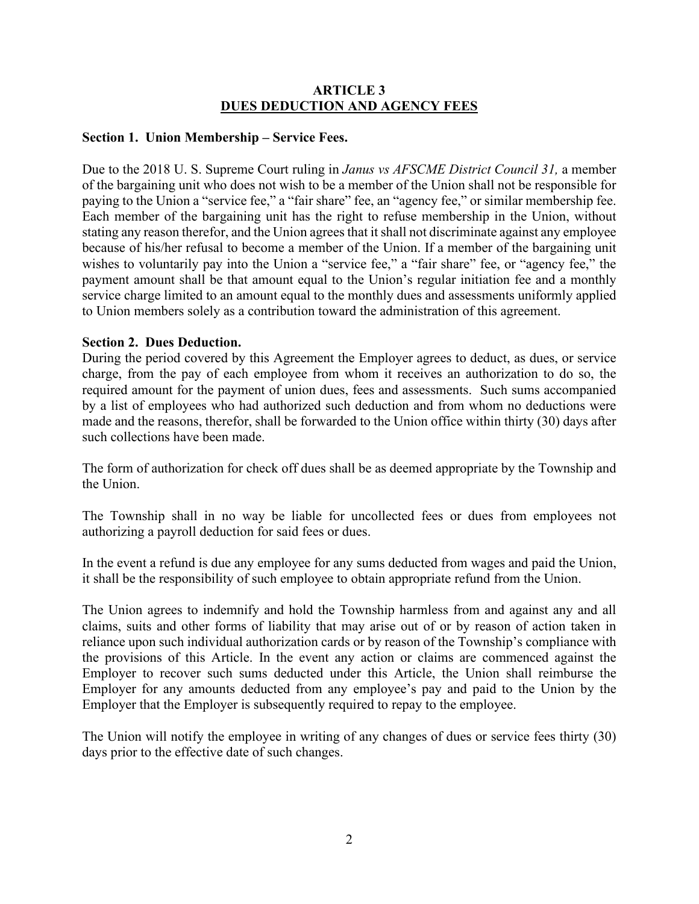# <span id="page-4-0"></span>**ARTICLE 3 DUES DEDUCTION AND AGENCY FEES**

# **Section 1. Union Membership – Service Fees.**

Due to the 2018 U. S. Supreme Court ruling in *Janus vs AFSCME District Council 31,* a member of the bargaining unit who does not wish to be a member of the Union shall not be responsible for paying to the Union a "service fee," a "fair share" fee, an "agency fee," or similar membership fee. Each member of the bargaining unit has the right to refuse membership in the Union, without stating any reason therefor, and the Union agrees that it shall not discriminate against any employee because of his/her refusal to become a member of the Union. If a member of the bargaining unit wishes to voluntarily pay into the Union a "service fee," a "fair share" fee, or "agency fee," the payment amount shall be that amount equal to the Union's regular initiation fee and a monthly service charge limited to an amount equal to the monthly dues and assessments uniformly applied to Union members solely as a contribution toward the administration of this agreement.

# **Section 2. Dues Deduction.**

During the period covered by this Agreement the Employer agrees to deduct, as dues, or service charge, from the pay of each employee from whom it receives an authorization to do so, the required amount for the payment of union dues, fees and assessments. Such sums accompanied by a list of employees who had authorized such deduction and from whom no deductions were made and the reasons, therefor, shall be forwarded to the Union office within thirty (30) days after such collections have been made.

The form of authorization for check off dues shall be as deemed appropriate by the Township and the Union.

The Township shall in no way be liable for uncollected fees or dues from employees not authorizing a payroll deduction for said fees or dues.

In the event a refund is due any employee for any sums deducted from wages and paid the Union, it shall be the responsibility of such employee to obtain appropriate refund from the Union.

The Union agrees to indemnify and hold the Township harmless from and against any and all claims, suits and other forms of liability that may arise out of or by reason of action taken in reliance upon such individual authorization cards or by reason of the Township's compliance with the provisions of this Article. In the event any action or claims are commenced against the Employer to recover such sums deducted under this Article, the Union shall reimburse the Employer for any amounts deducted from any employee's pay and paid to the Union by the Employer that the Employer is subsequently required to repay to the employee.

The Union will notify the employee in writing of any changes of dues or service fees thirty (30) days prior to the effective date of such changes.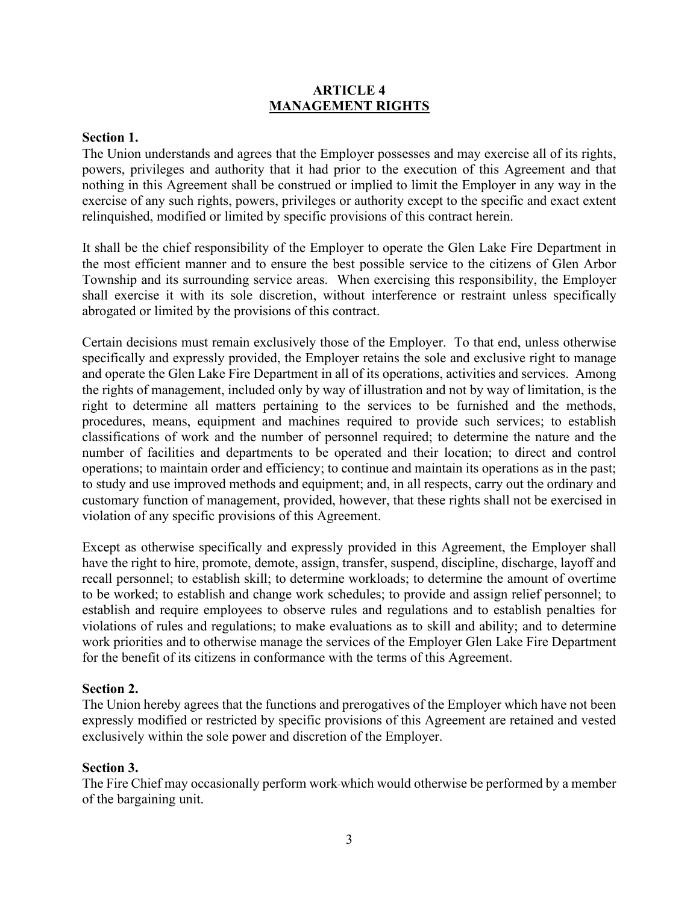# <span id="page-5-0"></span>**ARTICLE 4 MANAGEMENT RIGHTS**

### **Section 1.**

The Union understands and agrees that the Employer possesses and may exercise all of its rights, powers, privileges and authority that it had prior to the execution of this Agreement and that nothing in this Agreement shall be construed or implied to limit the Employer in any way in the exercise of any such rights, powers, privileges or authority except to the specific and exact extent relinquished, modified or limited by specific provisions of this contract herein.

It shall be the chief responsibility of the Employer to operate the Glen Lake Fire Department in the most efficient manner and to ensure the best possible service to the citizens of Glen Arbor Township and its surrounding service areas. When exercising this responsibility, the Employer shall exercise it with its sole discretion, without interference or restraint unless specifically abrogated or limited by the provisions of this contract.

Certain decisions must remain exclusively those of the Employer. To that end, unless otherwise specifically and expressly provided, the Employer retains the sole and exclusive right to manage and operate the Glen Lake Fire Department in all of its operations, activities and services. Among the rights of management, included only by way of illustration and not by way of limitation, is the right to determine all matters pertaining to the services to be furnished and the methods, procedures, means, equipment and machines required to provide such services; to establish classifications of work and the number of personnel required; to determine the nature and the number of facilities and departments to be operated and their location; to direct and control operations; to maintain order and efficiency; to continue and maintain its operations as in the past; to study and use improved methods and equipment; and, in all respects, carry out the ordinary and customary function of management, provided, however, that these rights shall not be exercised in violation of any specific provisions of this Agreement.

Except as otherwise specifically and expressly provided in this Agreement, the Employer shall have the right to hire, promote, demote, assign, transfer, suspend, discipline, discharge, layoff and recall personnel; to establish skill; to determine workloads; to determine the amount of overtime to be worked; to establish and change work schedules; to provide and assign relief personnel; to establish and require employees to observe rules and regulations and to establish penalties for violations of rules and regulations; to make evaluations as to skill and ability; and to determine work priorities and to otherwise manage the services of the Employer Glen Lake Fire Department for the benefit of its citizens in conformance with the terms of this Agreement.

#### **Section 2.**

The Union hereby agrees that the functions and prerogatives of the Employer which have not been expressly modified or restricted by specific provisions of this Agreement are retained and vested exclusively within the sole power and discretion of the Employer.

#### **Section 3.**

The Fire Chief may occasionally perform work which would otherwise be performed by a member of the bargaining unit.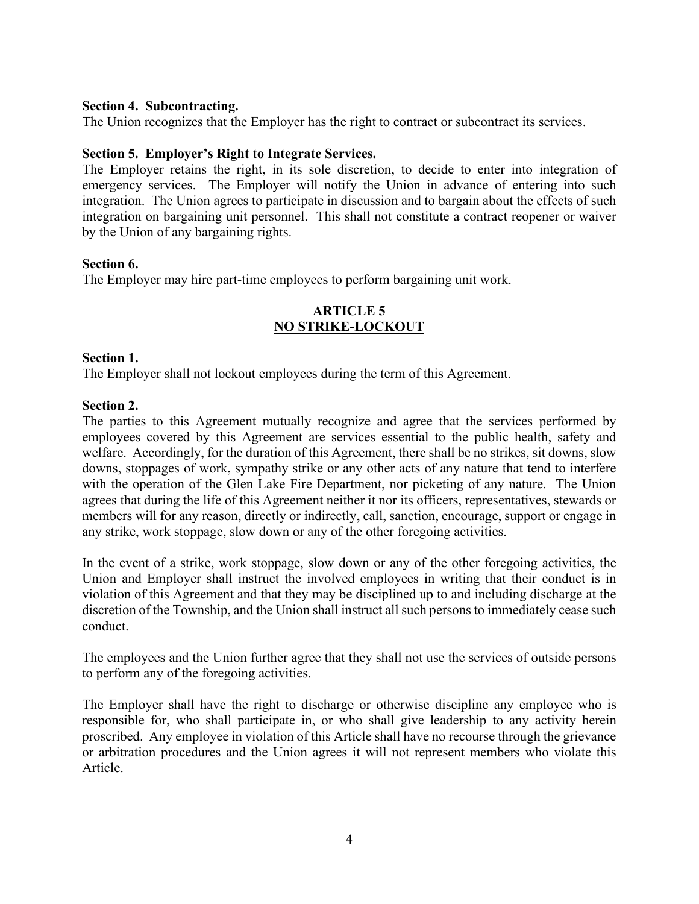### **Section 4. Subcontracting.**

The Union recognizes that the Employer has the right to contract or subcontract its services.

### **Section 5. Employer's Right to Integrate Services.**

The Employer retains the right, in its sole discretion, to decide to enter into integration of emergency services. The Employer will notify the Union in advance of entering into such integration. The Union agrees to participate in discussion and to bargain about the effects of such integration on bargaining unit personnel. This shall not constitute a contract reopener or waiver by the Union of any bargaining rights.

# **Section 6.**

The Employer may hire part-time employees to perform bargaining unit work.

# <span id="page-6-0"></span>**ARTICLE 5 NO STRIKE-LOCKOUT**

### **Section 1.**

The Employer shall not lockout employees during the term of this Agreement.

### **Section 2.**

The parties to this Agreement mutually recognize and agree that the services performed by employees covered by this Agreement are services essential to the public health, safety and welfare. Accordingly, for the duration of this Agreement, there shall be no strikes, sit downs, slow downs, stoppages of work, sympathy strike or any other acts of any nature that tend to interfere with the operation of the Glen Lake Fire Department, nor picketing of any nature. The Union agrees that during the life of this Agreement neither it nor its officers, representatives, stewards or members will for any reason, directly or indirectly, call, sanction, encourage, support or engage in any strike, work stoppage, slow down or any of the other foregoing activities.

In the event of a strike, work stoppage, slow down or any of the other foregoing activities, the Union and Employer shall instruct the involved employees in writing that their conduct is in violation of this Agreement and that they may be disciplined up to and including discharge at the discretion of the Township, and the Union shall instruct all such persons to immediately cease such conduct.

The employees and the Union further agree that they shall not use the services of outside persons to perform any of the foregoing activities.

The Employer shall have the right to discharge or otherwise discipline any employee who is responsible for, who shall participate in, or who shall give leadership to any activity herein proscribed. Any employee in violation of this Article shall have no recourse through the grievance or arbitration procedures and the Union agrees it will not represent members who violate this Article.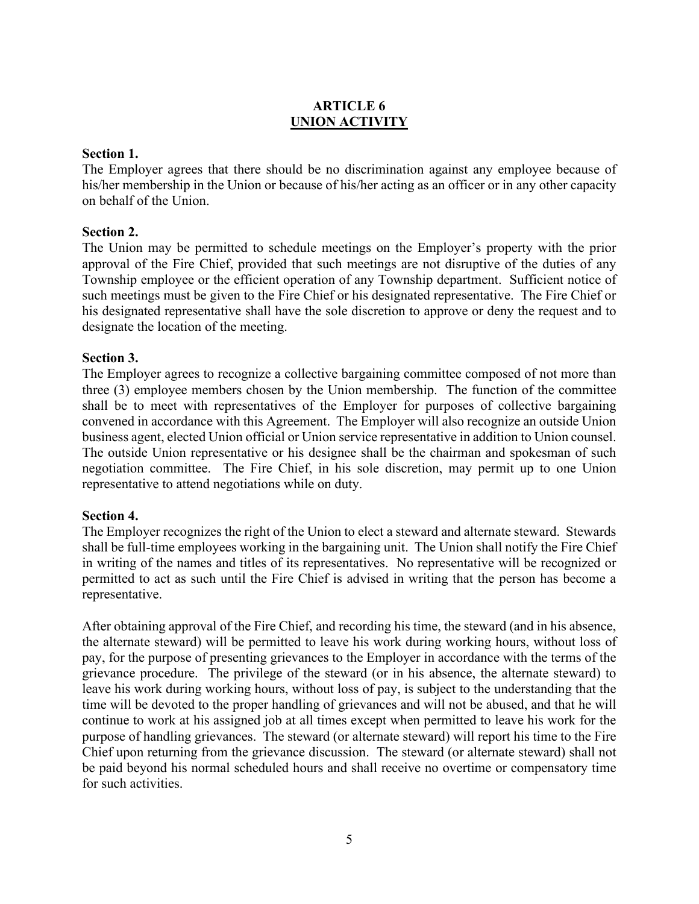# <span id="page-7-0"></span>**ARTICLE 6 UNION ACTIVITY**

# **Section 1.**

The Employer agrees that there should be no discrimination against any employee because of his/her membership in the Union or because of his/her acting as an officer or in any other capacity on behalf of the Union.

### **Section 2.**

The Union may be permitted to schedule meetings on the Employer's property with the prior approval of the Fire Chief, provided that such meetings are not disruptive of the duties of any Township employee or the efficient operation of any Township department. Sufficient notice of such meetings must be given to the Fire Chief or his designated representative. The Fire Chief or his designated representative shall have the sole discretion to approve or deny the request and to designate the location of the meeting.

### **Section 3.**

The Employer agrees to recognize a collective bargaining committee composed of not more than three (3) employee members chosen by the Union membership. The function of the committee shall be to meet with representatives of the Employer for purposes of collective bargaining convened in accordance with this Agreement. The Employer will also recognize an outside Union business agent, elected Union official or Union service representative in addition to Union counsel. The outside Union representative or his designee shall be the chairman and spokesman of such negotiation committee. The Fire Chief, in his sole discretion, may permit up to one Union representative to attend negotiations while on duty.

#### **Section 4.**

The Employer recognizes the right of the Union to elect a steward and alternate steward. Stewards shall be full-time employees working in the bargaining unit. The Union shall notify the Fire Chief in writing of the names and titles of its representatives. No representative will be recognized or permitted to act as such until the Fire Chief is advised in writing that the person has become a representative.

After obtaining approval of the Fire Chief, and recording his time, the steward (and in his absence, the alternate steward) will be permitted to leave his work during working hours, without loss of pay, for the purpose of presenting grievances to the Employer in accordance with the terms of the grievance procedure. The privilege of the steward (or in his absence, the alternate steward) to leave his work during working hours, without loss of pay, is subject to the understanding that the time will be devoted to the proper handling of grievances and will not be abused, and that he will continue to work at his assigned job at all times except when permitted to leave his work for the purpose of handling grievances. The steward (or alternate steward) will report his time to the Fire Chief upon returning from the grievance discussion. The steward (or alternate steward) shall not be paid beyond his normal scheduled hours and shall receive no overtime or compensatory time for such activities.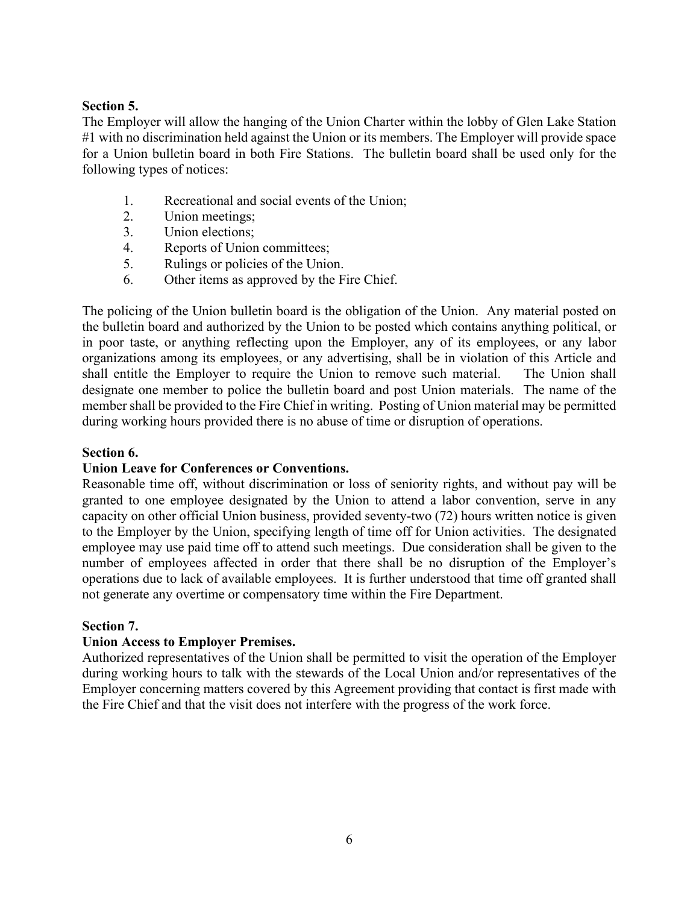# **Section 5.**

The Employer will allow the hanging of the Union Charter within the lobby of Glen Lake Station #1 with no discrimination held against the Union or its members. The Employer will provide space for a Union bulletin board in both Fire Stations. The bulletin board shall be used only for the following types of notices:

- 1. Recreational and social events of the Union;
- 2. Union meetings;
- 3. Union elections;
- 4. Reports of Union committees;
- 5. Rulings or policies of the Union.
- 6. Other items as approved by the Fire Chief.

The policing of the Union bulletin board is the obligation of the Union. Any material posted on the bulletin board and authorized by the Union to be posted which contains anything political, or in poor taste, or anything reflecting upon the Employer, any of its employees, or any labor organizations among its employees, or any advertising, shall be in violation of this Article and shall entitle the Employer to require the Union to remove such material. The Union shall designate one member to police the bulletin board and post Union materials. The name of the member shall be provided to the Fire Chief in writing. Posting of Union material may be permitted during working hours provided there is no abuse of time or disruption of operations.

# **Section 6.**

# **Union Leave for Conferences or Conventions.**

Reasonable time off, without discrimination or loss of seniority rights, and without pay will be granted to one employee designated by the Union to attend a labor convention, serve in any capacity on other official Union business, provided seventy-two (72) hours written notice is given to the Employer by the Union, specifying length of time off for Union activities. The designated employee may use paid time off to attend such meetings. Due consideration shall be given to the number of employees affected in order that there shall be no disruption of the Employer's operations due to lack of available employees. It is further understood that time off granted shall not generate any overtime or compensatory time within the Fire Department.

#### **Section 7.**

# **Union Access to Employer Premises.**

Authorized representatives of the Union shall be permitted to visit the operation of the Employer during working hours to talk with the stewards of the Local Union and/or representatives of the Employer concerning matters covered by this Agreement providing that contact is first made with the Fire Chief and that the visit does not interfere with the progress of the work force.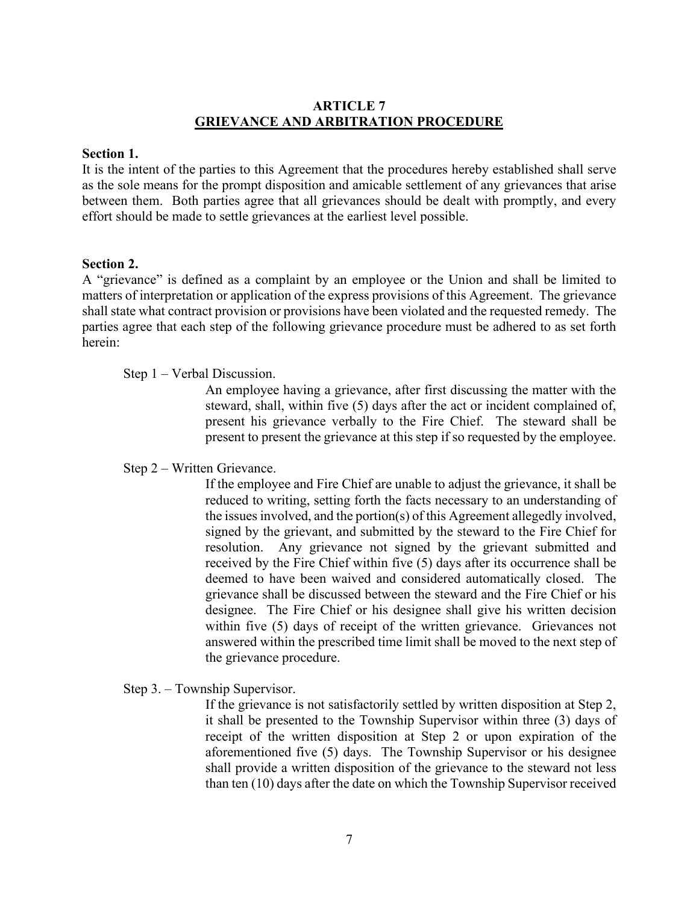# <span id="page-9-0"></span>**ARTICLE 7 GRIEVANCE AND ARBITRATION PROCEDURE**

#### **Section 1.**

It is the intent of the parties to this Agreement that the procedures hereby established shall serve as the sole means for the prompt disposition and amicable settlement of any grievances that arise between them. Both parties agree that all grievances should be dealt with promptly, and every effort should be made to settle grievances at the earliest level possible.

### **Section 2.**

A "grievance" is defined as a complaint by an employee or the Union and shall be limited to matters of interpretation or application of the express provisions of this Agreement. The grievance shall state what contract provision or provisions have been violated and the requested remedy. The parties agree that each step of the following grievance procedure must be adhered to as set forth herein:

### Step 1 – Verbal Discussion.

An employee having a grievance, after first discussing the matter with the steward, shall, within five (5) days after the act or incident complained of, present his grievance verbally to the Fire Chief. The steward shall be present to present the grievance at this step if so requested by the employee.

# Step 2 – Written Grievance.

If the employee and Fire Chief are unable to adjust the grievance, it shall be reduced to writing, setting forth the facts necessary to an understanding of the issues involved, and the portion(s) of this Agreement allegedly involved, signed by the grievant, and submitted by the steward to the Fire Chief for resolution. Any grievance not signed by the grievant submitted and received by the Fire Chief within five (5) days after its occurrence shall be deemed to have been waived and considered automatically closed. The grievance shall be discussed between the steward and the Fire Chief or his designee. The Fire Chief or his designee shall give his written decision within five (5) days of receipt of the written grievance. Grievances not answered within the prescribed time limit shall be moved to the next step of the grievance procedure.

# Step 3. – Township Supervisor.

If the grievance is not satisfactorily settled by written disposition at Step 2, it shall be presented to the Township Supervisor within three (3) days of receipt of the written disposition at Step 2 or upon expiration of the aforementioned five (5) days. The Township Supervisor or his designee shall provide a written disposition of the grievance to the steward not less than ten (10) days after the date on which the Township Supervisor received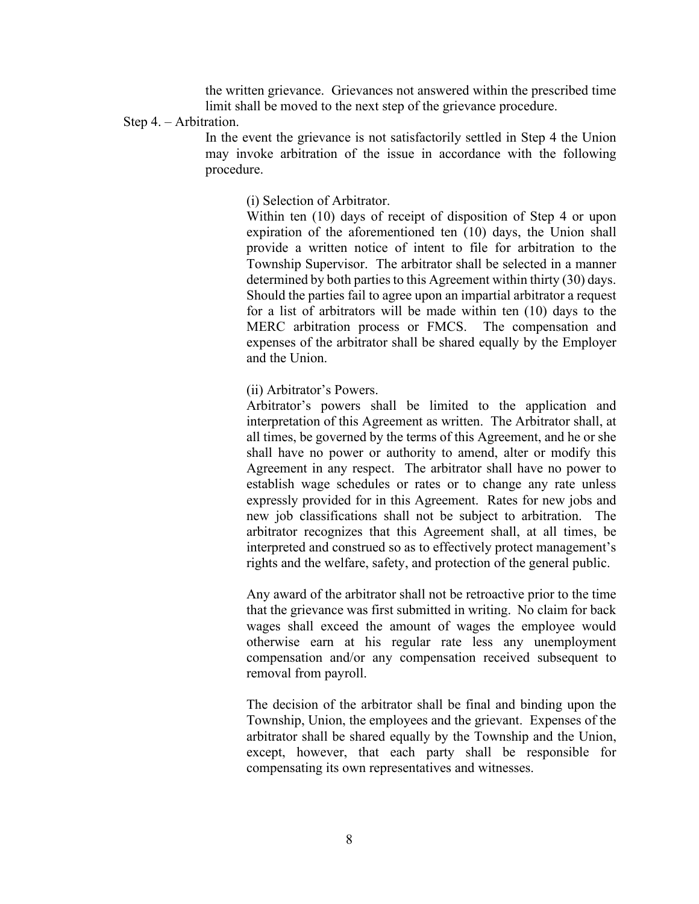the written grievance. Grievances not answered within the prescribed time limit shall be moved to the next step of the grievance procedure.

Step 4. – Arbitration.

In the event the grievance is not satisfactorily settled in Step 4 the Union may invoke arbitration of the issue in accordance with the following procedure.

(i) Selection of Arbitrator.

Within ten (10) days of receipt of disposition of Step 4 or upon expiration of the aforementioned ten (10) days, the Union shall provide a written notice of intent to file for arbitration to the Township Supervisor. The arbitrator shall be selected in a manner determined by both parties to this Agreement within thirty (30) days. Should the parties fail to agree upon an impartial arbitrator a request for a list of arbitrators will be made within ten (10) days to the MERC arbitration process or FMCS. The compensation and expenses of the arbitrator shall be shared equally by the Employer and the Union.

(ii) Arbitrator's Powers.

Arbitrator's powers shall be limited to the application and interpretation of this Agreement as written. The Arbitrator shall, at all times, be governed by the terms of this Agreement, and he or she shall have no power or authority to amend, alter or modify this Agreement in any respect. The arbitrator shall have no power to establish wage schedules or rates or to change any rate unless expressly provided for in this Agreement. Rates for new jobs and new job classifications shall not be subject to arbitration. The arbitrator recognizes that this Agreement shall, at all times, be interpreted and construed so as to effectively protect management's rights and the welfare, safety, and protection of the general public.

Any award of the arbitrator shall not be retroactive prior to the time that the grievance was first submitted in writing. No claim for back wages shall exceed the amount of wages the employee would otherwise earn at his regular rate less any unemployment compensation and/or any compensation received subsequent to removal from payroll.

The decision of the arbitrator shall be final and binding upon the Township, Union, the employees and the grievant. Expenses of the arbitrator shall be shared equally by the Township and the Union, except, however, that each party shall be responsible for compensating its own representatives and witnesses.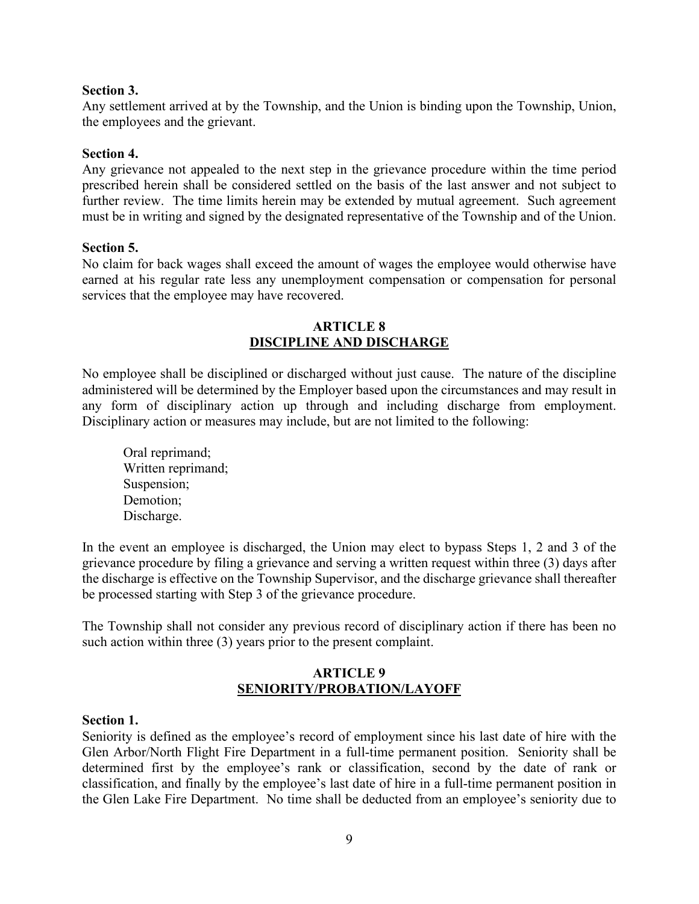### **Section 3.**

Any settlement arrived at by the Township, and the Union is binding upon the Township, Union, the employees and the grievant.

### **Section 4.**

Any grievance not appealed to the next step in the grievance procedure within the time period prescribed herein shall be considered settled on the basis of the last answer and not subject to further review. The time limits herein may be extended by mutual agreement. Such agreement must be in writing and signed by the designated representative of the Township and of the Union.

### **Section 5.**

No claim for back wages shall exceed the amount of wages the employee would otherwise have earned at his regular rate less any unemployment compensation or compensation for personal services that the employee may have recovered.

# <span id="page-11-0"></span>**ARTICLE 8 DISCIPLINE AND DISCHARGE**

No employee shall be disciplined or discharged without just cause. The nature of the discipline administered will be determined by the Employer based upon the circumstances and may result in any form of disciplinary action up through and including discharge from employment. Disciplinary action or measures may include, but are not limited to the following:

Oral reprimand; Written reprimand; Suspension; Demotion; Discharge.

In the event an employee is discharged, the Union may elect to bypass Steps 1, 2 and 3 of the grievance procedure by filing a grievance and serving a written request within three (3) days after the discharge is effective on the Township Supervisor, and the discharge grievance shall thereafter be processed starting with Step 3 of the grievance procedure.

The Township shall not consider any previous record of disciplinary action if there has been no such action within three (3) years prior to the present complaint.

# <span id="page-11-1"></span>**ARTICLE 9 SENIORITY/PROBATION/LAYOFF**

#### **Section 1.**

Seniority is defined as the employee's record of employment since his last date of hire with the Glen Arbor/North Flight Fire Department in a full-time permanent position. Seniority shall be determined first by the employee's rank or classification, second by the date of rank or classification, and finally by the employee's last date of hire in a full-time permanent position in the Glen Lake Fire Department. No time shall be deducted from an employee's seniority due to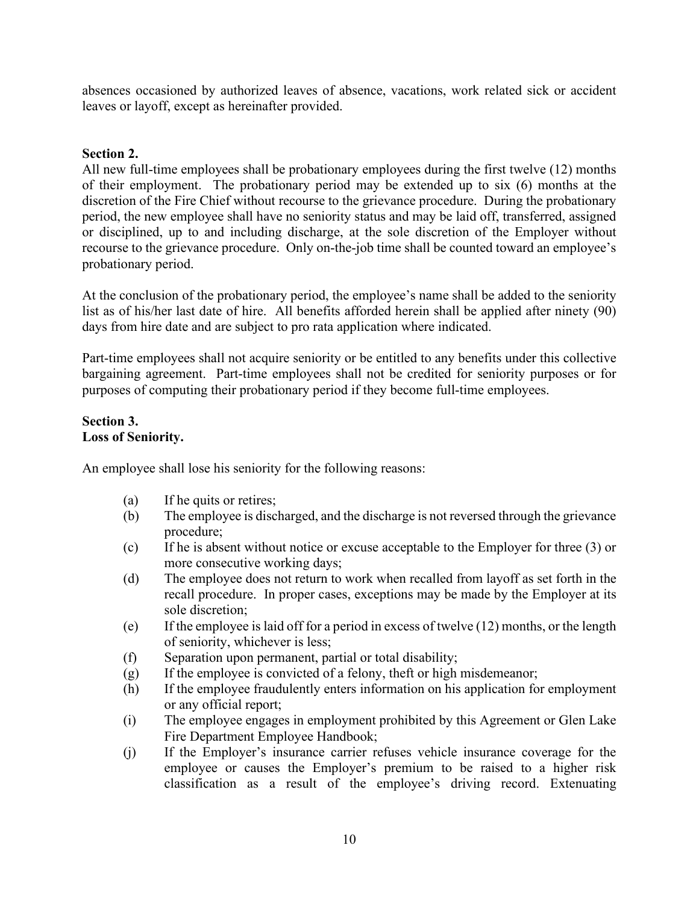absences occasioned by authorized leaves of absence, vacations, work related sick or accident leaves or layoff, except as hereinafter provided.

# **Section 2.**

All new full-time employees shall be probationary employees during the first twelve (12) months of their employment. The probationary period may be extended up to six (6) months at the discretion of the Fire Chief without recourse to the grievance procedure. During the probationary period, the new employee shall have no seniority status and may be laid off, transferred, assigned or disciplined, up to and including discharge, at the sole discretion of the Employer without recourse to the grievance procedure. Only on-the-job time shall be counted toward an employee's probationary period.

At the conclusion of the probationary period, the employee's name shall be added to the seniority list as of his/her last date of hire. All benefits afforded herein shall be applied after ninety (90) days from hire date and are subject to pro rata application where indicated.

Part-time employees shall not acquire seniority or be entitled to any benefits under this collective bargaining agreement. Part-time employees shall not be credited for seniority purposes or for purposes of computing their probationary period if they become full-time employees.

# **Section 3. Loss of Seniority.**

An employee shall lose his seniority for the following reasons:

- (a) If he quits or retires;
- (b) The employee is discharged, and the discharge is not reversed through the grievance procedure;
- (c) If he is absent without notice or excuse acceptable to the Employer for three (3) or more consecutive working days;
- (d) The employee does not return to work when recalled from layoff as set forth in the recall procedure. In proper cases, exceptions may be made by the Employer at its sole discretion;
- (e) If the employee is laid off for a period in excess of twelve  $(12)$  months, or the length of seniority, whichever is less;
- (f) Separation upon permanent, partial or total disability;
- (g) If the employee is convicted of a felony, theft or high misdemeanor;
- (h) If the employee fraudulently enters information on his application for employment or any official report;
- (i) The employee engages in employment prohibited by this Agreement or Glen Lake Fire Department Employee Handbook;
- (j) If the Employer's insurance carrier refuses vehicle insurance coverage for the employee or causes the Employer's premium to be raised to a higher risk classification as a result of the employee's driving record. Extenuating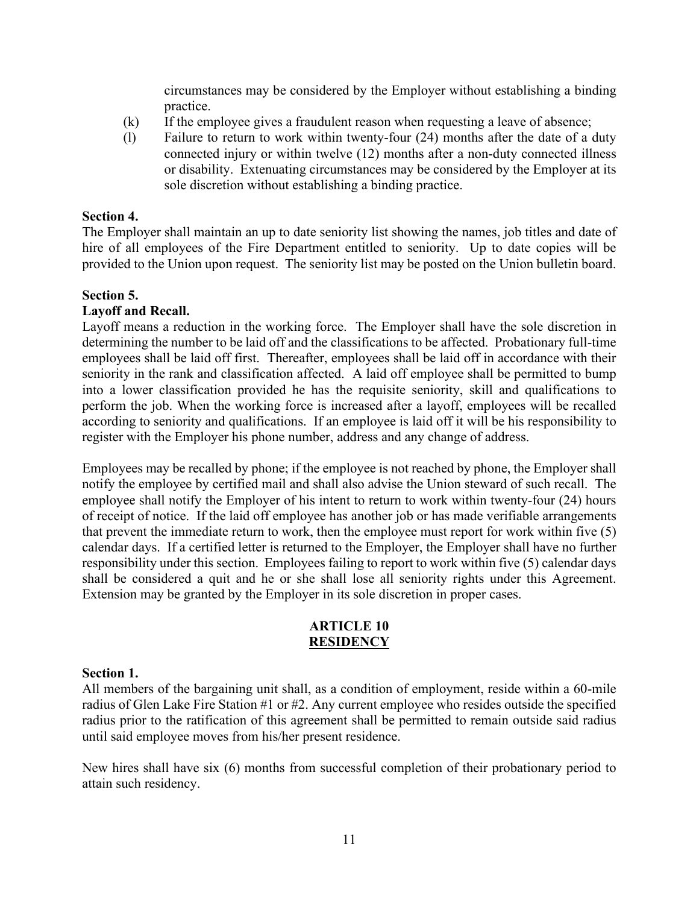circumstances may be considered by the Employer without establishing a binding practice.

- (k) If the employee gives a fraudulent reason when requesting a leave of absence;
- (l) Failure to return to work within twenty-four (24) months after the date of a duty connected injury or within twelve (12) months after a non-duty connected illness or disability. Extenuating circumstances may be considered by the Employer at its sole discretion without establishing a binding practice.

### **Section 4.**

The Employer shall maintain an up to date seniority list showing the names, job titles and date of hire of all employees of the Fire Department entitled to seniority. Up to date copies will be provided to the Union upon request. The seniority list may be posted on the Union bulletin board.

### **Section 5.**

### **Layoff and Recall.**

Layoff means a reduction in the working force. The Employer shall have the sole discretion in determining the number to be laid off and the classifications to be affected. Probationary full-time employees shall be laid off first. Thereafter, employees shall be laid off in accordance with their seniority in the rank and classification affected. A laid off employee shall be permitted to bump into a lower classification provided he has the requisite seniority, skill and qualifications to perform the job. When the working force is increased after a layoff, employees will be recalled according to seniority and qualifications. If an employee is laid off it will be his responsibility to register with the Employer his phone number, address and any change of address.

Employees may be recalled by phone; if the employee is not reached by phone, the Employer shall notify the employee by certified mail and shall also advise the Union steward of such recall. The employee shall notify the Employer of his intent to return to work within twenty-four (24) hours of receipt of notice. If the laid off employee has another job or has made verifiable arrangements that prevent the immediate return to work, then the employee must report for work within five (5) calendar days. If a certified letter is returned to the Employer, the Employer shall have no further responsibility under this section. Employees failing to report to work within five (5) calendar days shall be considered a quit and he or she shall lose all seniority rights under this Agreement. Extension may be granted by the Employer in its sole discretion in proper cases.

### <span id="page-13-0"></span>**ARTICLE 10 RESIDENCY**

#### **Section 1.**

All members of the bargaining unit shall, as a condition of employment, reside within a 60-mile radius of Glen Lake Fire Station #1 or #2. Any current employee who resides outside the specified radius prior to the ratification of this agreement shall be permitted to remain outside said radius until said employee moves from his/her present residence.

New hires shall have six (6) months from successful completion of their probationary period to attain such residency.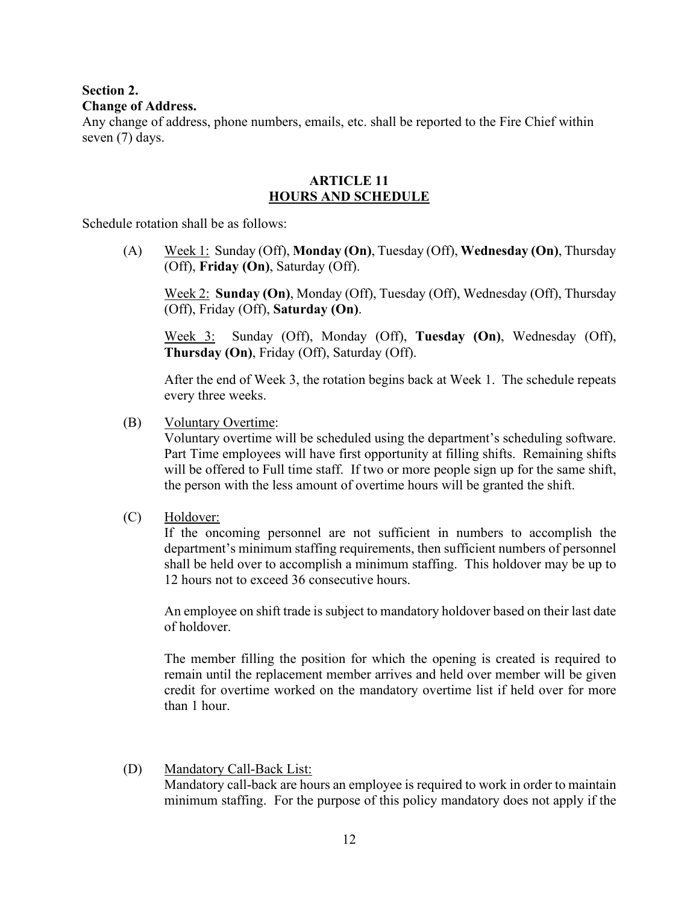# **Section 2.**

# **Change of Address.**

Any change of address, phone numbers, emails, etc. shall be reported to the Fire Chief within seven (7) days.

# <span id="page-14-0"></span>**ARTICLE 11 HOURS AND SCHEDULE**

Schedule rotation shall be as follows:

(A) Week 1: Sunday (Off), **Monday (On)**, Tuesday (Off), **Wednesday (On)**, Thursday (Off), **Friday (On)**, Saturday (Off).

Week 2: **Sunday (On)**, Monday (Off), Tuesday (Off), Wednesday (Off), Thursday (Off), Friday (Off), **Saturday (On)**.

Week 3: Sunday (Off), Monday (Off), **Tuesday (On)**, Wednesday (Off), **Thursday (On)**, Friday (Off), Saturday (Off).

After the end of Week 3, the rotation begins back at Week 1. The schedule repeats every three weeks.

(B) Voluntary Overtime:

Voluntary overtime will be scheduled using the department's scheduling software. Part Time employees will have first opportunity at filling shifts. Remaining shifts will be offered to Full time staff. If two or more people sign up for the same shift, the person with the less amount of overtime hours will be granted the shift.

(C) Holdover:

If the oncoming personnel are not sufficient in numbers to accomplish the department's minimum staffing requirements, then sufficient numbers of personnel shall be held over to accomplish a minimum staffing. This holdover may be up to 12 hours not to exceed 36 consecutive hours.

An employee on shift trade is subject to mandatory holdover based on their last date of holdover.

The member filling the position for which the opening is created is required to remain until the replacement member arrives and held over member will be given credit for overtime worked on the mandatory overtime list if held over for more than 1 hour.

(D) Mandatory Call-Back List: Mandatory call-back are hours an employee is required to work in order to maintain minimum staffing. For the purpose of this policy mandatory does not apply if the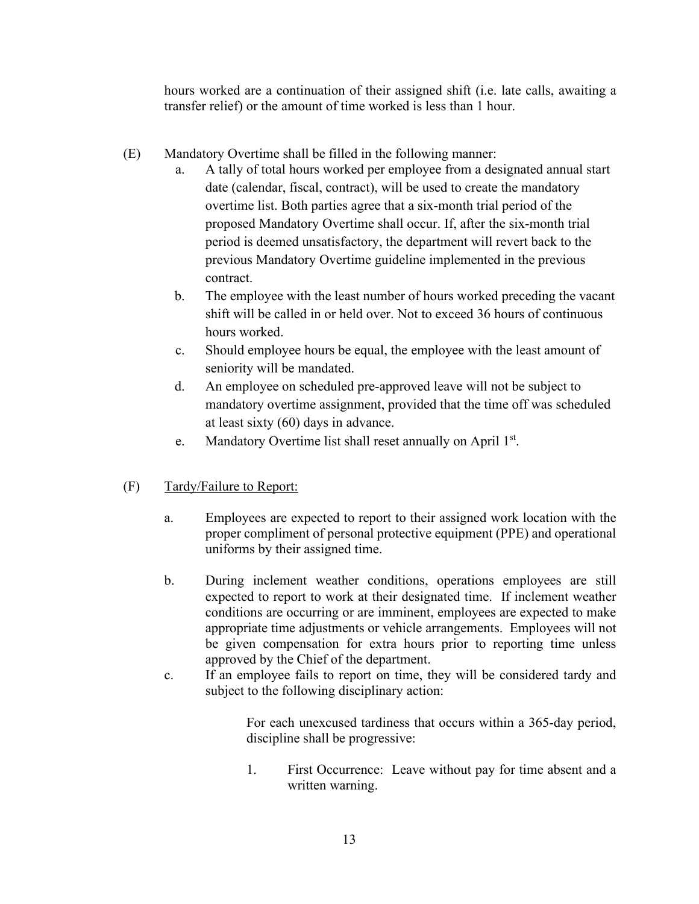hours worked are a continuation of their assigned shift (i.e. late calls, awaiting a transfer relief) or the amount of time worked is less than 1 hour.

- (E) Mandatory Overtime shall be filled in the following manner:
	- a. A tally of total hours worked per employee from a designated annual start date (calendar, fiscal, contract), will be used to create the mandatory overtime list. Both parties agree that a six-month trial period of the proposed Mandatory Overtime shall occur. If, after the six-month trial period is deemed unsatisfactory, the department will revert back to the previous Mandatory Overtime guideline implemented in the previous contract.
	- b. The employee with the least number of hours worked preceding the vacant shift will be called in or held over. Not to exceed 36 hours of continuous hours worked.
	- c. Should employee hours be equal, the employee with the least amount of seniority will be mandated.
	- d. An employee on scheduled pre-approved leave will not be subject to mandatory overtime assignment, provided that the time off was scheduled at least sixty (60) days in advance.
	- e. Mandatory Overtime list shall reset annually on April 1<sup>st</sup>.

# (F) Tardy/Failure to Report:

- a. Employees are expected to report to their assigned work location with the proper compliment of personal protective equipment (PPE) and operational uniforms by their assigned time.
- b. During inclement weather conditions, operations employees are still expected to report to work at their designated time. If inclement weather conditions are occurring or are imminent, employees are expected to make appropriate time adjustments or vehicle arrangements. Employees will not be given compensation for extra hours prior to reporting time unless approved by the Chief of the department.
- c. If an employee fails to report on time, they will be considered tardy and subject to the following disciplinary action:

For each unexcused tardiness that occurs within a 365-day period, discipline shall be progressive:

1. First Occurrence: Leave without pay for time absent and a written warning.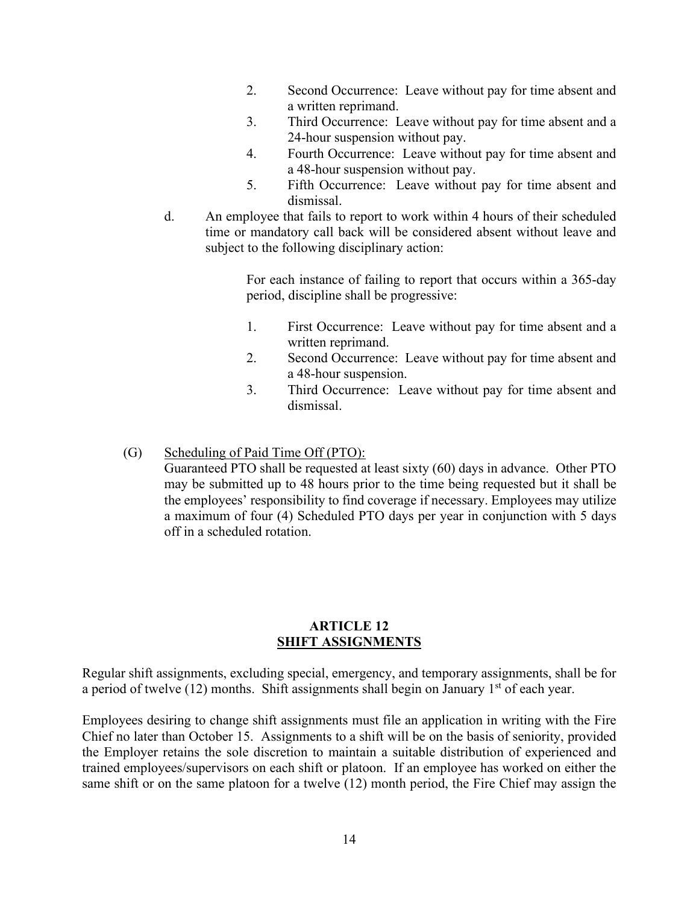- 2. Second Occurrence: Leave without pay for time absent and a written reprimand.
- 3. Third Occurrence: Leave without pay for time absent and a 24-hour suspension without pay.
- 4. Fourth Occurrence: Leave without pay for time absent and a 48-hour suspension without pay.
- 5. Fifth Occurrence: Leave without pay for time absent and dismissal.
- d. An employee that fails to report to work within 4 hours of their scheduled time or mandatory call back will be considered absent without leave and subject to the following disciplinary action:

For each instance of failing to report that occurs within a 365-day period, discipline shall be progressive:

- 1. First Occurrence: Leave without pay for time absent and a written reprimand.
- 2. Second Occurrence: Leave without pay for time absent and a 48-hour suspension.
- 3. Third Occurrence: Leave without pay for time absent and dismissal.
- (G) Scheduling of Paid Time Off (PTO):

Guaranteed PTO shall be requested at least sixty (60) days in advance. Other PTO may be submitted up to 48 hours prior to the time being requested but it shall be the employees' responsibility to find coverage if necessary. Employees may utilize a maximum of four (4) Scheduled PTO days per year in conjunction with 5 days off in a scheduled rotation.

# <span id="page-16-0"></span>**ARTICLE 12 SHIFT ASSIGNMENTS**

Regular shift assignments, excluding special, emergency, and temporary assignments, shall be for a period of twelve  $(12)$  months. Shift assignments shall begin on January  $1<sup>st</sup>$  of each year.

Employees desiring to change shift assignments must file an application in writing with the Fire Chief no later than October 15. Assignments to a shift will be on the basis of seniority, provided the Employer retains the sole discretion to maintain a suitable distribution of experienced and trained employees/supervisors on each shift or platoon. If an employee has worked on either the same shift or on the same platoon for a twelve (12) month period, the Fire Chief may assign the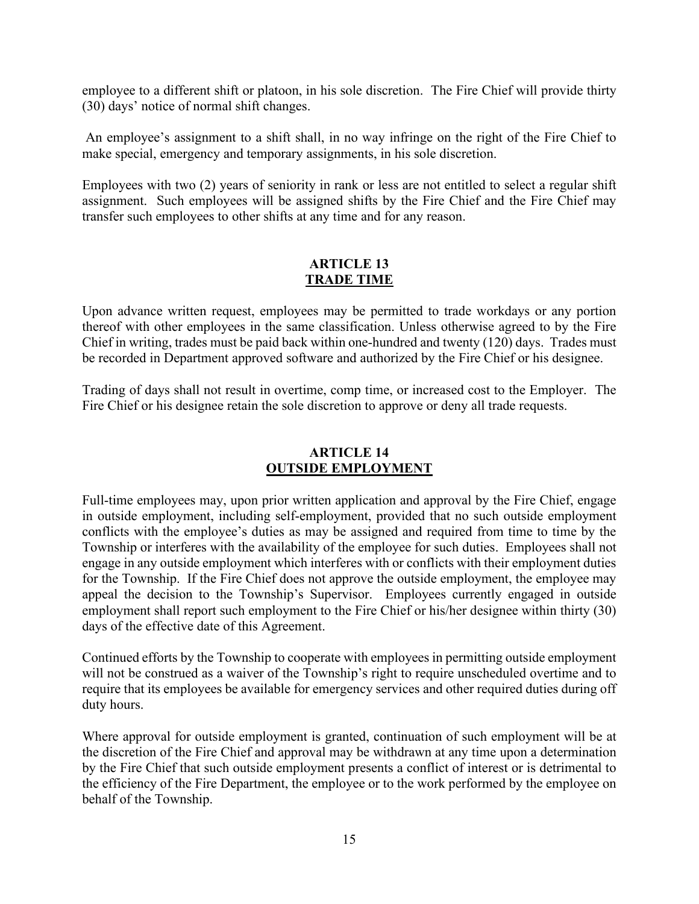employee to a different shift or platoon, in his sole discretion. The Fire Chief will provide thirty (30) days' notice of normal shift changes.

An employee's assignment to a shift shall, in no way infringe on the right of the Fire Chief to make special, emergency and temporary assignments, in his sole discretion.

Employees with two (2) years of seniority in rank or less are not entitled to select a regular shift assignment. Such employees will be assigned shifts by the Fire Chief and the Fire Chief may transfer such employees to other shifts at any time and for any reason.

# <span id="page-17-0"></span>**ARTICLE 13 TRADE TIME**

Upon advance written request, employees may be permitted to trade workdays or any portion thereof with other employees in the same classification. Unless otherwise agreed to by the Fire Chief in writing, trades must be paid back within one-hundred and twenty (120) days. Trades must be recorded in Department approved software and authorized by the Fire Chief or his designee.

Trading of days shall not result in overtime, comp time, or increased cost to the Employer. The Fire Chief or his designee retain the sole discretion to approve or deny all trade requests.

# <span id="page-17-1"></span>**ARTICLE 14 OUTSIDE EMPLOYMENT**

Full-time employees may, upon prior written application and approval by the Fire Chief, engage in outside employment, including self-employment, provided that no such outside employment conflicts with the employee's duties as may be assigned and required from time to time by the Township or interferes with the availability of the employee for such duties. Employees shall not engage in any outside employment which interferes with or conflicts with their employment duties for the Township. If the Fire Chief does not approve the outside employment, the employee may appeal the decision to the Township's Supervisor. Employees currently engaged in outside employment shall report such employment to the Fire Chief or his/her designee within thirty (30) days of the effective date of this Agreement.

Continued efforts by the Township to cooperate with employees in permitting outside employment will not be construed as a waiver of the Township's right to require unscheduled overtime and to require that its employees be available for emergency services and other required duties during off duty hours.

Where approval for outside employment is granted, continuation of such employment will be at the discretion of the Fire Chief and approval may be withdrawn at any time upon a determination by the Fire Chief that such outside employment presents a conflict of interest or is detrimental to the efficiency of the Fire Department, the employee or to the work performed by the employee on behalf of the Township.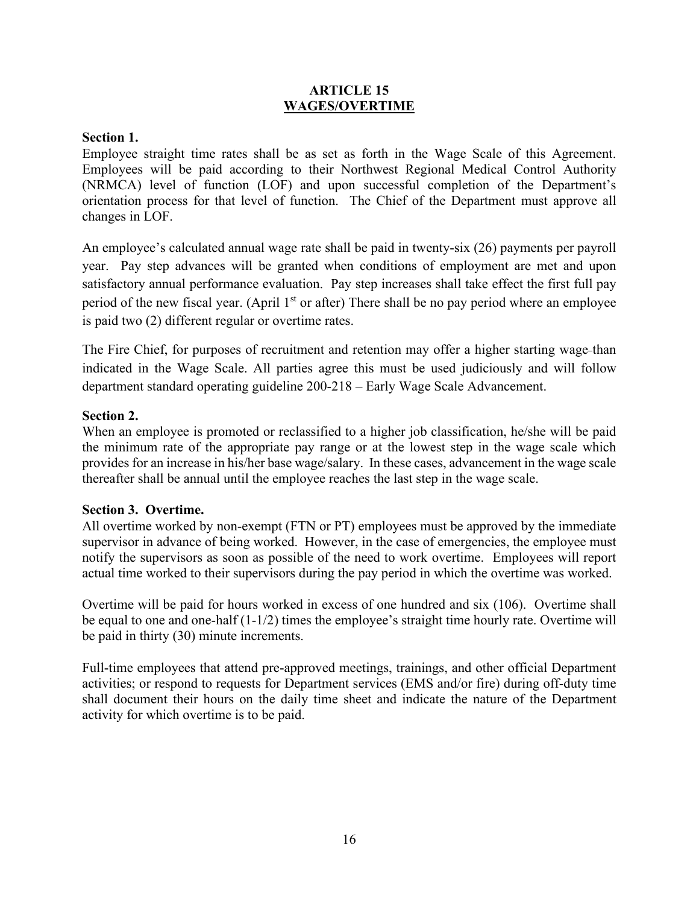# <span id="page-18-0"></span>**ARTICLE 15 WAGES/OVERTIME**

# **Section 1.**

Employee straight time rates shall be as set as forth in the Wage Scale of this Agreement. Employees will be paid according to their Northwest Regional Medical Control Authority (NRMCA) level of function (LOF) and upon successful completion of the Department's orientation process for that level of function. The Chief of the Department must approve all changes in LOF.

An employee's calculated annual wage rate shall be paid in twenty-six (26) payments per payroll year. Pay step advances will be granted when conditions of employment are met and upon satisfactory annual performance evaluation. Pay step increases shall take effect the first full pay period of the new fiscal year. (April  $1<sup>st</sup>$  or after) There shall be no pay period where an employee is paid two (2) different regular or overtime rates.

The Fire Chief, for purposes of recruitment and retention may offer a higher starting wage than indicated in the Wage Scale. All parties agree this must be used judiciously and will follow department standard operating guideline 200-218 – Early Wage Scale Advancement.

# **Section 2.**

When an employee is promoted or reclassified to a higher job classification, he/she will be paid the minimum rate of the appropriate pay range or at the lowest step in the wage scale which provides for an increase in his/her base wage/salary. In these cases, advancement in the wage scale thereafter shall be annual until the employee reaches the last step in the wage scale.

# **Section 3. Overtime.**

All overtime worked by non-exempt (FTN or PT) employees must be approved by the immediate supervisor in advance of being worked. However, in the case of emergencies, the employee must notify the supervisors as soon as possible of the need to work overtime. Employees will report actual time worked to their supervisors during the pay period in which the overtime was worked.

Overtime will be paid for hours worked in excess of one hundred and six (106). Overtime shall be equal to one and one-half (1-1/2) times the employee's straight time hourly rate. Overtime will be paid in thirty (30) minute increments.

Full-time employees that attend pre-approved meetings, trainings, and other official Department activities; or respond to requests for Department services (EMS and/or fire) during off-duty time shall document their hours on the daily time sheet and indicate the nature of the Department activity for which overtime is to be paid.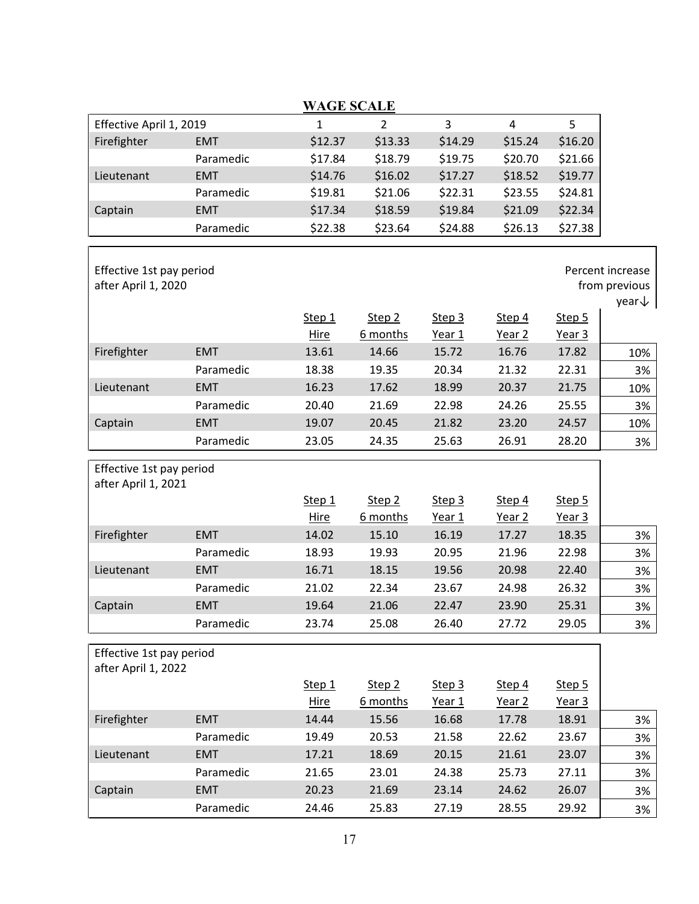|                                                 |            | <b>WAGE SCALE</b>     |                               |                  |                             |                             |                                                        |
|-------------------------------------------------|------------|-----------------------|-------------------------------|------------------|-----------------------------|-----------------------------|--------------------------------------------------------|
| Effective April 1, 2019                         |            | 1                     | 2                             | 3                | 4                           | 5                           |                                                        |
| Firefighter                                     | <b>EMT</b> | \$12.37               | \$13.33                       | \$14.29          | \$15.24                     | \$16.20                     |                                                        |
|                                                 | Paramedic  | \$17.84               | \$18.79                       | \$19.75          | \$20.70                     | \$21.66                     |                                                        |
| Lieutenant                                      | <b>EMT</b> | \$14.76               | \$16.02                       | \$17.27          | \$18.52                     | \$19.77                     |                                                        |
|                                                 | Paramedic  | \$19.81               | \$21.06                       | \$22.31          | \$23.55                     | \$24.81                     |                                                        |
| Captain                                         | <b>EMT</b> | \$17.34               | \$18.59                       | \$19.84          | \$21.09                     | \$22.34                     |                                                        |
|                                                 | Paramedic  | \$22.38               | \$23.64                       | \$24.88          | \$26.13                     | \$27.38                     |                                                        |
| Effective 1st pay period<br>after April 1, 2020 |            |                       |                               |                  |                             |                             | Percent increase<br>from previous<br>year $\downarrow$ |
|                                                 |            | Step 1                | Step 2                        | Step 3           | Step 4                      | Step 5                      |                                                        |
|                                                 |            | Hire                  | 6 months                      | Year 1           | Year 2                      | Year 3                      |                                                        |
| Firefighter                                     | <b>EMT</b> | 13.61                 | 14.66                         | 15.72            | 16.76                       | 17.82                       | 10%                                                    |
|                                                 | Paramedic  | 18.38                 | 19.35                         | 20.34            | 21.32                       | 22.31                       | 3%                                                     |
| Lieutenant                                      | <b>EMT</b> | 16.23                 | 17.62                         | 18.99            | 20.37                       | 21.75                       | 10%                                                    |
|                                                 | Paramedic  | 20.40                 | 21.69                         | 22.98            | 24.26                       | 25.55                       | 3%                                                     |
| Captain                                         | <b>EMT</b> | 19.07                 | 20.45                         | 21.82            | 23.20                       | 24.57                       | 10%                                                    |
|                                                 | Paramedic  | 23.05                 | 24.35                         | 25.63            | 26.91                       | 28.20                       | 3%                                                     |
| Effective 1st pay period<br>after April 1, 2021 |            | Step 1<br><b>Hire</b> | Step <sub>2</sub><br>6 months | Step 3<br>Year 1 | Step 4<br>Year 2            | Step 5<br>Year 3            |                                                        |
| Firefighter                                     | <b>EMT</b> | 14.02                 | 15.10                         | 16.19            | 17.27                       | 18.35                       | 3%                                                     |
|                                                 | Paramedic  | 18.93                 | 19.93                         | 20.95            | 21.96                       | 22.98                       | 3%                                                     |
| Lieutenant                                      | <b>EMT</b> | 16.71                 | 18.15                         | 19.56            | 20.98                       | 22.40                       | 3%                                                     |
|                                                 | Paramedic  | 21.02                 | 22.34                         | 23.67            | 24.98                       | 26.32                       | 3%                                                     |
| Captain                                         | <b>EMT</b> | 19.64                 | 21.06                         | 22.47            | 23.90                       | 25.31                       | 3%                                                     |
|                                                 | Paramedic  | 23.74                 | 25.08                         | 26.40            | 27.72                       | 29.05                       | 3%                                                     |
|                                                 |            |                       |                               |                  |                             |                             |                                                        |
| Effective 1st pay period<br>after April 1, 2022 |            | Step 1<br><b>Hire</b> | Step 2<br>6 months            | Step 3<br>Year 1 | Step 4<br>Year <sub>2</sub> | Step 5<br>Year <sub>3</sub> |                                                        |
| Firefighter                                     | <b>EMT</b> | 14.44                 | 15.56                         | 16.68            | 17.78                       | 18.91                       | 3%                                                     |
|                                                 | Paramedic  | 19.49                 | 20.53                         | 21.58            | 22.62                       | 23.67                       | 3%                                                     |
| Lieutenant                                      | <b>EMT</b> | 17.21                 | 18.69                         | 20.15            | 21.61                       | 23.07                       | 3%                                                     |
|                                                 | Paramedic  | 21.65                 | 23.01                         | 24.38            | 25.73                       | 27.11                       | 3%                                                     |
| Captain                                         | <b>EMT</b> | 20.23                 | 21.69                         | 23.14            | 24.62                       | 26.07                       | 3%                                                     |
|                                                 | Paramedic  | 24.46                 | 25.83                         | 27.19            | 28.55                       | 29.92                       | 3%                                                     |
|                                                 |            |                       |                               |                  |                             |                             |                                                        |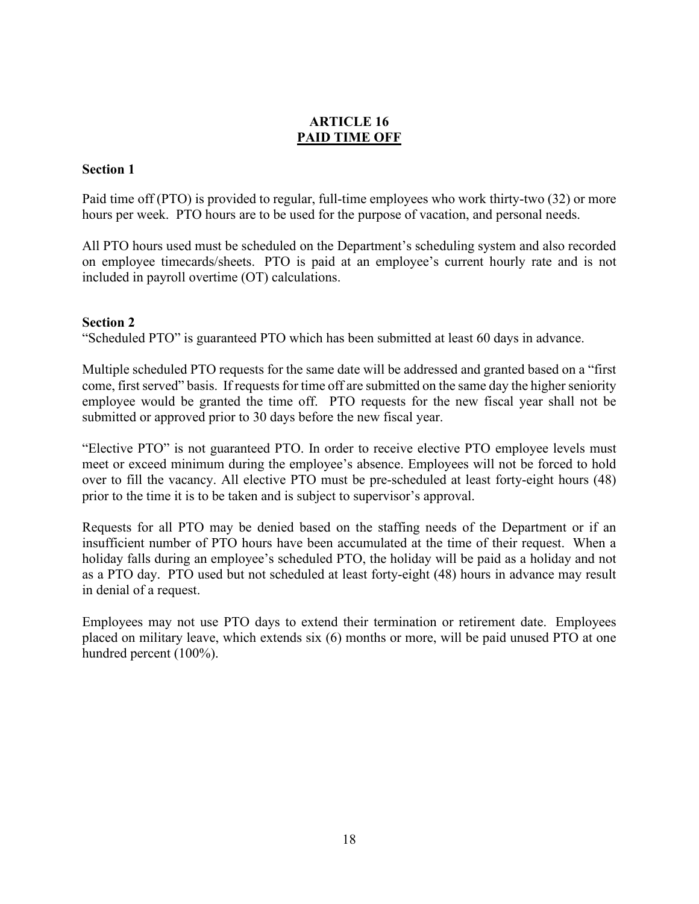# **ARTICLE 16 PAID TIME OFF**

# **Section 1**

Paid time off (PTO) is provided to regular, full-time employees who work thirty-two (32) or more hours per week. PTO hours are to be used for the purpose of vacation, and personal needs.

All PTO hours used must be scheduled on the Department's scheduling system and also recorded on employee timecards/sheets. PTO is paid at an employee's current hourly rate and is not included in payroll overtime (OT) calculations.

# **Section 2**

"Scheduled PTO" is guaranteed PTO which has been submitted at least 60 days in advance.

Multiple scheduled PTO requests for the same date will be addressed and granted based on a "first come, first served" basis. If requests for time off are submitted on the same day the higher seniority employee would be granted the time off. PTO requests for the new fiscal year shall not be submitted or approved prior to 30 days before the new fiscal year.

"Elective PTO" is not guaranteed PTO. In order to receive elective PTO employee levels must meet or exceed minimum during the employee's absence. Employees will not be forced to hold over to fill the vacancy. All elective PTO must be pre-scheduled at least forty-eight hours (48) prior to the time it is to be taken and is subject to supervisor's approval.

Requests for all PTO may be denied based on the staffing needs of the Department or if an insufficient number of PTO hours have been accumulated at the time of their request. When a holiday falls during an employee's scheduled PTO, the holiday will be paid as a holiday and not as a PTO day. PTO used but not scheduled at least forty-eight (48) hours in advance may result in denial of a request.

Employees may not use PTO days to extend their termination or retirement date. Employees placed on military leave, which extends six (6) months or more, will be paid unused PTO at one hundred percent (100%).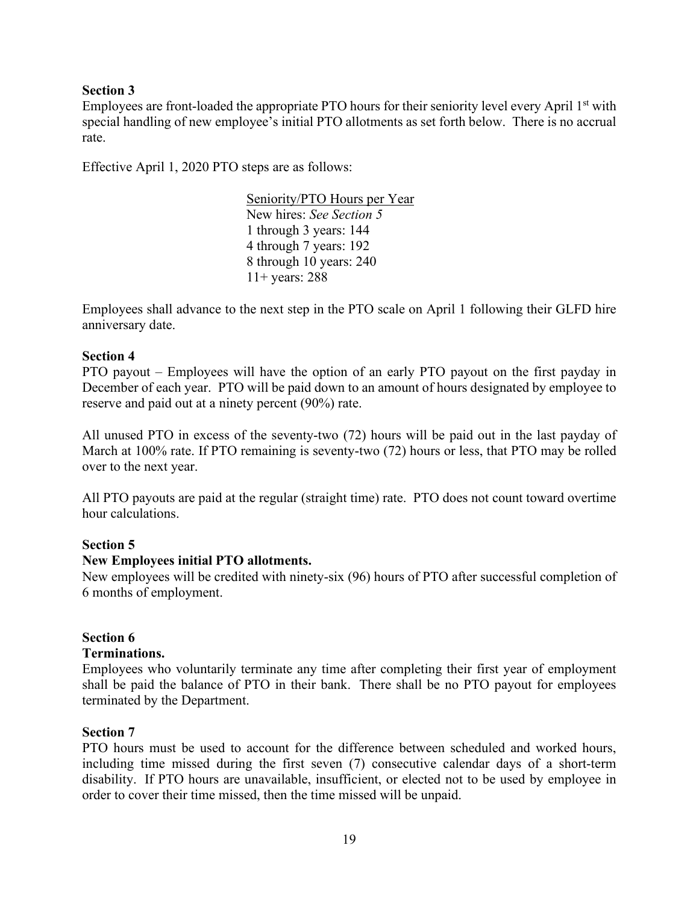# **Section 3**

Employees are front-loaded the appropriate PTO hours for their seniority level every April 1<sup>st</sup> with special handling of new employee's initial PTO allotments as set forth below. There is no accrual rate.

Effective April 1, 2020 PTO steps are as follows:

Seniority/PTO Hours per Year New hires: *See Section 5* 1 through 3 years: 144 4 through 7 years: 192 8 through 10 years: 240 11+ years: 288

Employees shall advance to the next step in the PTO scale on April 1 following their GLFD hire anniversary date.

# **Section 4**

PTO payout – Employees will have the option of an early PTO payout on the first payday in December of each year. PTO will be paid down to an amount of hours designated by employee to reserve and paid out at a ninety percent (90%) rate.

All unused PTO in excess of the seventy-two (72) hours will be paid out in the last payday of March at 100% rate. If PTO remaining is seventy-two (72) hours or less, that PTO may be rolled over to the next year.

All PTO payouts are paid at the regular (straight time) rate. PTO does not count toward overtime hour calculations.

# **Section 5**

# **New Employees initial PTO allotments.**

New employees will be credited with ninety-six (96) hours of PTO after successful completion of 6 months of employment.

# **Section 6**

# **Terminations.**

Employees who voluntarily terminate any time after completing their first year of employment shall be paid the balance of PTO in their bank. There shall be no PTO payout for employees terminated by the Department.

# **Section 7**

PTO hours must be used to account for the difference between scheduled and worked hours, including time missed during the first seven (7) consecutive calendar days of a short-term disability. If PTO hours are unavailable, insufficient, or elected not to be used by employee in order to cover their time missed, then the time missed will be unpaid.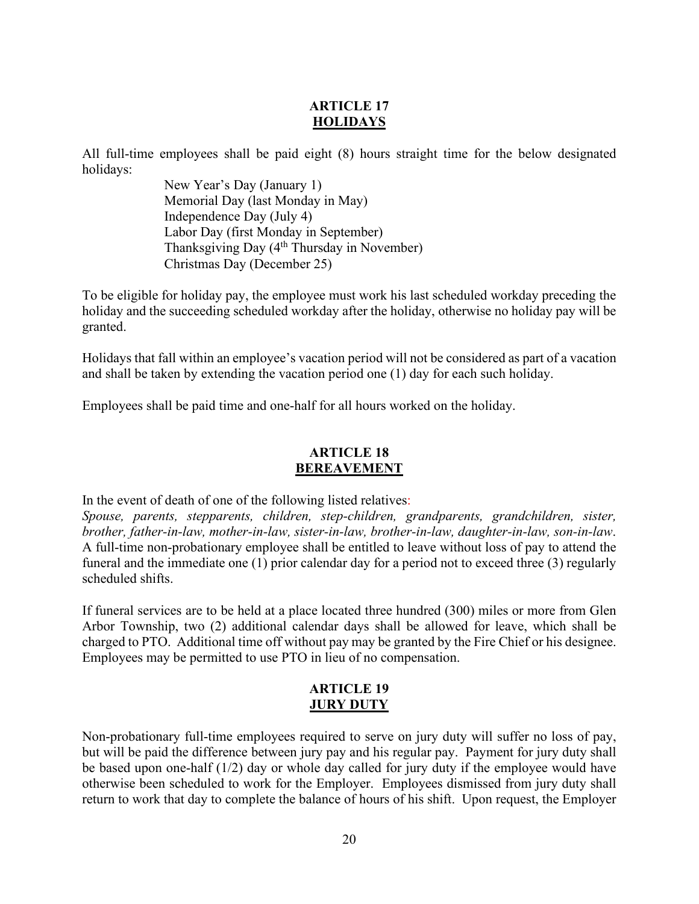# <span id="page-22-0"></span>**ARTICLE 17 HOLIDAYS**

All full-time employees shall be paid eight (8) hours straight time for the below designated holidays:

> New Year's Day (January 1) Memorial Day (last Monday in May) Independence Day (July 4) Labor Day (first Monday in September) Thanksgiving Day (4<sup>th</sup> Thursday in November) Christmas Day (December 25)

To be eligible for holiday pay, the employee must work his last scheduled workday preceding the holiday and the succeeding scheduled workday after the holiday, otherwise no holiday pay will be granted.

Holidays that fall within an employee's vacation period will not be considered as part of a vacation and shall be taken by extending the vacation period one (1) day for each such holiday.

Employees shall be paid time and one-half for all hours worked on the holiday.

# <span id="page-22-1"></span>**ARTICLE 18 BEREAVEMENT**

In the event of death of one of the following listed relatives:

*Spouse, parents, stepparents, children, step-children, grandparents, grandchildren, sister, brother, father-in-law, mother-in-law, sister-in-law, brother-in-law, daughter-in-law, son-in-law*. A full-time non-probationary employee shall be entitled to leave without loss of pay to attend the funeral and the immediate one (1) prior calendar day for a period not to exceed three (3) regularly scheduled shifts.

If funeral services are to be held at a place located three hundred (300) miles or more from Glen Arbor Township, two (2) additional calendar days shall be allowed for leave, which shall be charged to PTO. Additional time off without pay may be granted by the Fire Chief or his designee. Employees may be permitted to use PTO in lieu of no compensation.

# <span id="page-22-2"></span>**ARTICLE 19 JURY DUTY**

Non-probationary full-time employees required to serve on jury duty will suffer no loss of pay, but will be paid the difference between jury pay and his regular pay. Payment for jury duty shall be based upon one-half (1/2) day or whole day called for jury duty if the employee would have otherwise been scheduled to work for the Employer. Employees dismissed from jury duty shall return to work that day to complete the balance of hours of his shift. Upon request, the Employer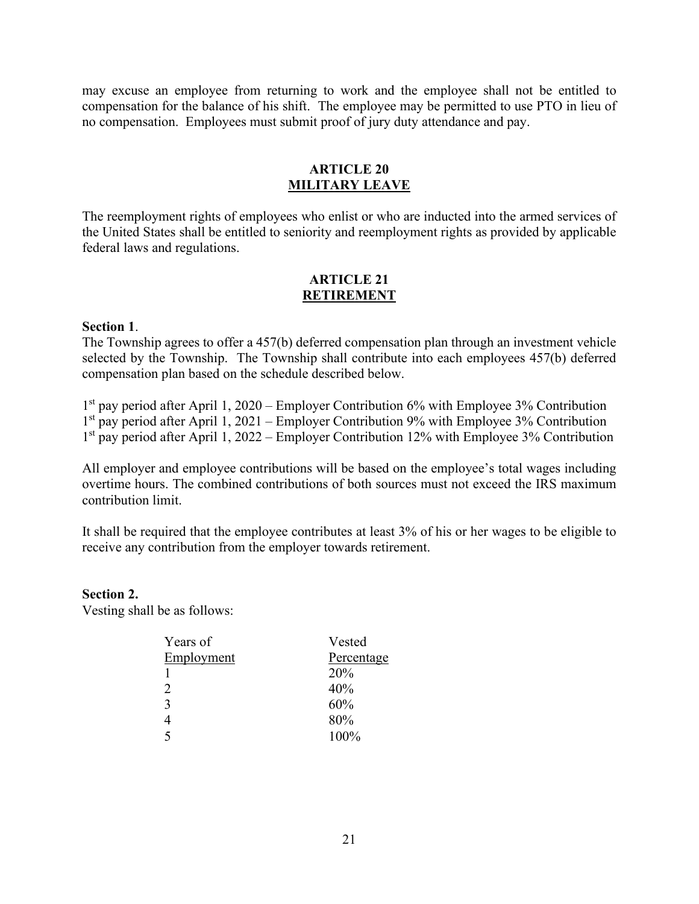may excuse an employee from returning to work and the employee shall not be entitled to compensation for the balance of his shift. The employee may be permitted to use PTO in lieu of no compensation. Employees must submit proof of jury duty attendance and pay.

# <span id="page-23-0"></span>**ARTICLE 20 MILITARY LEAVE**

The reemployment rights of employees who enlist or who are inducted into the armed services of the United States shall be entitled to seniority and reemployment rights as provided by applicable federal laws and regulations.

### <span id="page-23-1"></span>**ARTICLE 21 RETIREMENT**

### **Section 1**.

The Township agrees to offer a 457(b) deferred compensation plan through an investment vehicle selected by the Township. The Township shall contribute into each employees 457(b) deferred compensation plan based on the schedule described below.

1st pay period after April 1, 2020 – Employer Contribution 6% with Employee 3% Contribution  $1<sup>st</sup>$  pay period after April 1, 2021 – Employer Contribution 9% with Employee 3% Contribution 1<sup>st</sup> pay period after April 1, 2022 – Employer Contribution 12% with Employee 3% Contribution

All employer and employee contributions will be based on the employee's total wages including overtime hours. The combined contributions of both sources must not exceed the IRS maximum contribution limit.

It shall be required that the employee contributes at least 3% of his or her wages to be eligible to receive any contribution from the employer towards retirement.

**Section 2.** Vesting shall be as follows:

| Years of                 | Vested     |
|--------------------------|------------|
| Employment               | Percentage |
|                          | 20%        |
| 2                        | 40%        |
| 3                        | 60%        |
|                          | 80%        |
| $\overline{\phantom{0}}$ | 100%       |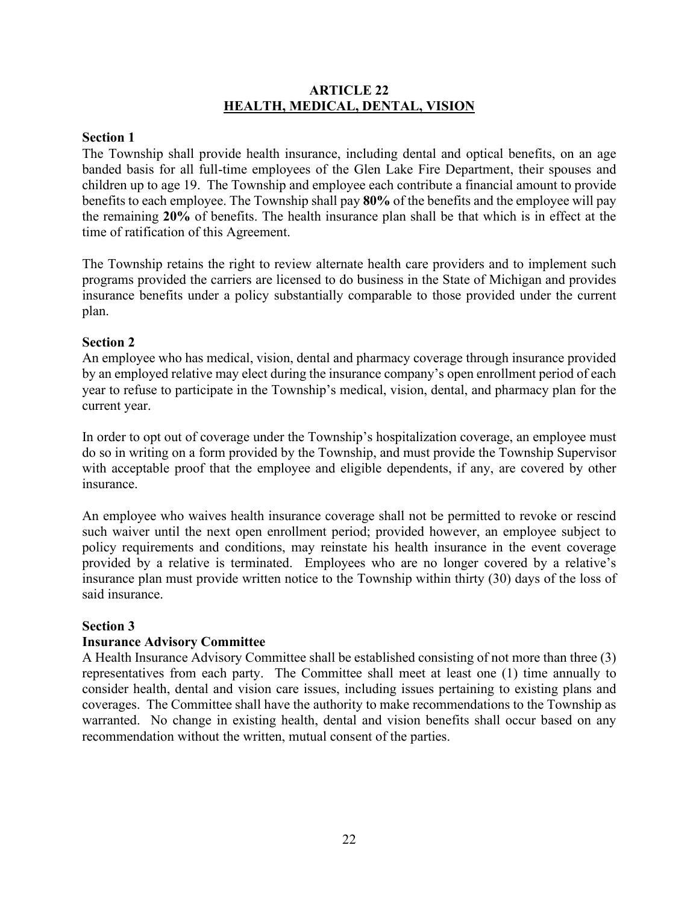# <span id="page-24-0"></span>**ARTICLE 22 HEALTH, MEDICAL, DENTAL, VISION**

# **Section 1**

The Township shall provide health insurance, including dental and optical benefits, on an age banded basis for all full-time employees of the Glen Lake Fire Department, their spouses and children up to age 19. The Township and employee each contribute a financial amount to provide benefits to each employee. The Township shall pay **80%** of the benefits and the employee will pay the remaining **20%** of benefits. The health insurance plan shall be that which is in effect at the time of ratification of this Agreement.

The Township retains the right to review alternate health care providers and to implement such programs provided the carriers are licensed to do business in the State of Michigan and provides insurance benefits under a policy substantially comparable to those provided under the current plan.

# **Section 2**

An employee who has medical, vision, dental and pharmacy coverage through insurance provided by an employed relative may elect during the insurance company's open enrollment period of each year to refuse to participate in the Township's medical, vision, dental, and pharmacy plan for the current year.

In order to opt out of coverage under the Township's hospitalization coverage, an employee must do so in writing on a form provided by the Township, and must provide the Township Supervisor with acceptable proof that the employee and eligible dependents, if any, are covered by other insurance.

An employee who waives health insurance coverage shall not be permitted to revoke or rescind such waiver until the next open enrollment period; provided however, an employee subject to policy requirements and conditions, may reinstate his health insurance in the event coverage provided by a relative is terminated. Employees who are no longer covered by a relative's insurance plan must provide written notice to the Township within thirty (30) days of the loss of said insurance.

# **Section 3**

# **Insurance Advisory Committee**

A Health Insurance Advisory Committee shall be established consisting of not more than three (3) representatives from each party. The Committee shall meet at least one (1) time annually to consider health, dental and vision care issues, including issues pertaining to existing plans and coverages. The Committee shall have the authority to make recommendations to the Township as warranted. No change in existing health, dental and vision benefits shall occur based on any recommendation without the written, mutual consent of the parties.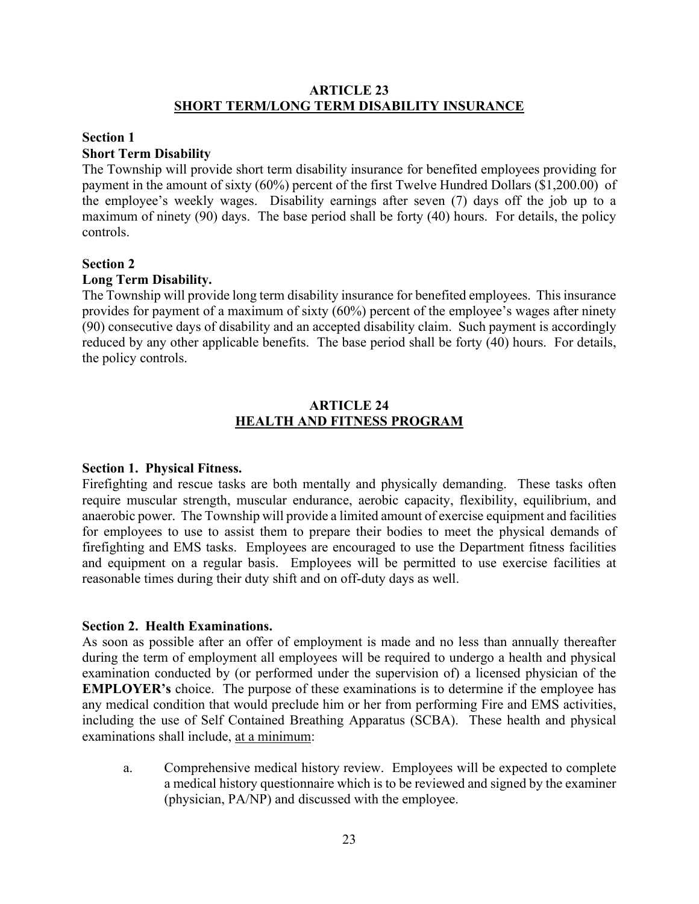# <span id="page-25-0"></span>**ARTICLE 23 SHORT TERM/LONG TERM DISABILITY INSURANCE**

### **Section 1 Short Term Disability**

The Township will provide short term disability insurance for benefited employees providing for payment in the amount of sixty (60%) percent of the first Twelve Hundred Dollars (\$1,200.00) of the employee's weekly wages. Disability earnings after seven (7) days off the job up to a maximum of ninety (90) days. The base period shall be forty (40) hours. For details, the policy controls.

# **Section 2**

# **Long Term Disability.**

The Township will provide long term disability insurance for benefited employees. This insurance provides for payment of a maximum of sixty (60%) percent of the employee's wages after ninety (90) consecutive days of disability and an accepted disability claim. Such payment is accordingly reduced by any other applicable benefits. The base period shall be forty (40) hours. For details, the policy controls.

# <span id="page-25-1"></span>**ARTICLE 24 HEALTH AND FITNESS PROGRAM**

# **Section 1. Physical Fitness.**

Firefighting and rescue tasks are both mentally and physically demanding. These tasks often require muscular strength, muscular endurance, aerobic capacity, flexibility, equilibrium, and anaerobic power. The Township will provide a limited amount of exercise equipment and facilities for employees to use to assist them to prepare their bodies to meet the physical demands of firefighting and EMS tasks. Employees are encouraged to use the Department fitness facilities and equipment on a regular basis. Employees will be permitted to use exercise facilities at reasonable times during their duty shift and on off-duty days as well.

# **Section 2. Health Examinations.**

As soon as possible after an offer of employment is made and no less than annually thereafter during the term of employment all employees will be required to undergo a health and physical examination conducted by (or performed under the supervision of) a licensed physician of the **EMPLOYER's** choice. The purpose of these examinations is to determine if the employee has any medical condition that would preclude him or her from performing Fire and EMS activities, including the use of Self Contained Breathing Apparatus (SCBA). These health and physical examinations shall include, at a minimum:

a. Comprehensive medical history review. Employees will be expected to complete a medical history questionnaire which is to be reviewed and signed by the examiner (physician, PA/NP) and discussed with the employee.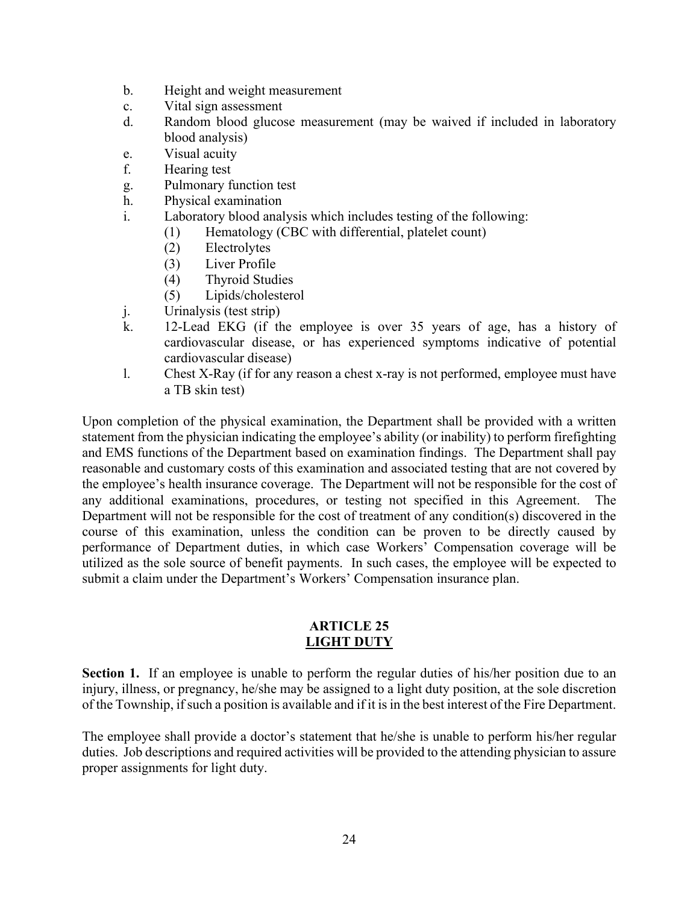- b. Height and weight measurement
- c. Vital sign assessment
- d. Random blood glucose measurement (may be waived if included in laboratory blood analysis)
- e. Visual acuity
- f. Hearing test
- g. Pulmonary function test
- h. Physical examination
- i. Laboratory blood analysis which includes testing of the following:
	- (1) Hematology (CBC with differential, platelet count)
	- (2) Electrolytes
	- (3) Liver Profile
	- (4) Thyroid Studies
	- (5) Lipids/cholesterol
- j. Urinalysis (test strip)
- k. 12-Lead EKG (if the employee is over 35 years of age, has a history of cardiovascular disease, or has experienced symptoms indicative of potential cardiovascular disease)
- l. Chest X-Ray (if for any reason a chest x-ray is not performed, employee must have a TB skin test)

Upon completion of the physical examination, the Department shall be provided with a written statement from the physician indicating the employee's ability (or inability) to perform firefighting and EMS functions of the Department based on examination findings. The Department shall pay reasonable and customary costs of this examination and associated testing that are not covered by the employee's health insurance coverage. The Department will not be responsible for the cost of any additional examinations, procedures, or testing not specified in this Agreement. The Department will not be responsible for the cost of treatment of any condition(s) discovered in the course of this examination, unless the condition can be proven to be directly caused by performance of Department duties, in which case Workers' Compensation coverage will be utilized as the sole source of benefit payments. In such cases, the employee will be expected to submit a claim under the Department's Workers' Compensation insurance plan.

# <span id="page-26-0"></span>**ARTICLE 25 LIGHT DUTY**

**Section 1.** If an employee is unable to perform the regular duties of his/her position due to an injury, illness, or pregnancy, he/she may be assigned to a light duty position, at the sole discretion of the Township, if such a position is available and if it is in the best interest of the Fire Department.

The employee shall provide a doctor's statement that he/she is unable to perform his/her regular duties. Job descriptions and required activities will be provided to the attending physician to assure proper assignments for light duty.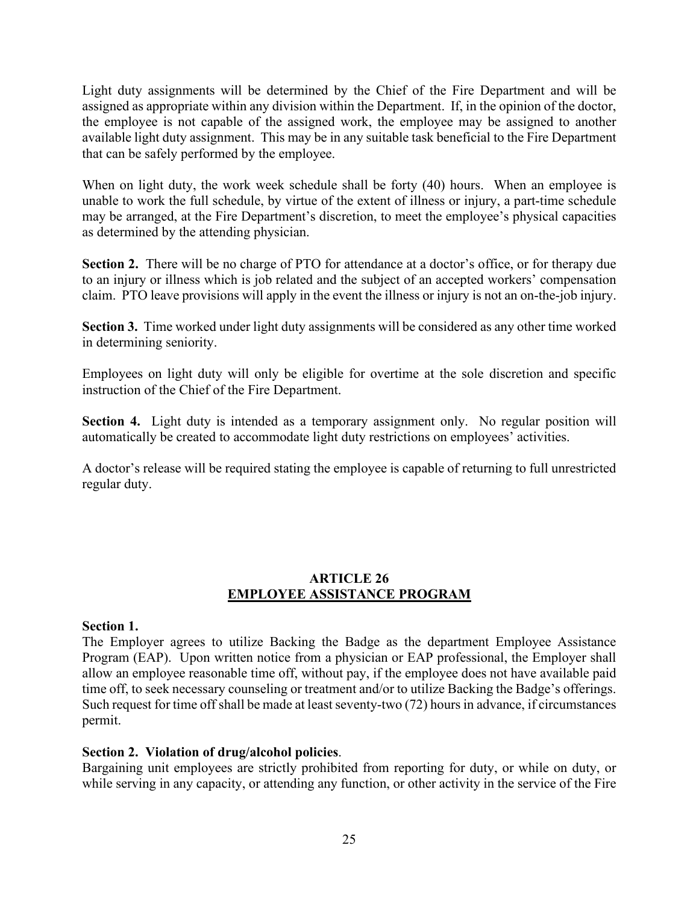Light duty assignments will be determined by the Chief of the Fire Department and will be assigned as appropriate within any division within the Department. If, in the opinion of the doctor, the employee is not capable of the assigned work, the employee may be assigned to another available light duty assignment. This may be in any suitable task beneficial to the Fire Department that can be safely performed by the employee.

When on light duty, the work week schedule shall be forty (40) hours. When an employee is unable to work the full schedule, by virtue of the extent of illness or injury, a part-time schedule may be arranged, at the Fire Department's discretion, to meet the employee's physical capacities as determined by the attending physician.

**Section 2.** There will be no charge of PTO for attendance at a doctor's office, or for therapy due to an injury or illness which is job related and the subject of an accepted workers' compensation claim. PTO leave provisions will apply in the event the illness or injury is not an on-the-job injury.

**Section 3.** Time worked under light duty assignments will be considered as any other time worked in determining seniority.

Employees on light duty will only be eligible for overtime at the sole discretion and specific instruction of the Chief of the Fire Department.

**Section 4.** Light duty is intended as a temporary assignment only. No regular position will automatically be created to accommodate light duty restrictions on employees' activities.

A doctor's release will be required stating the employee is capable of returning to full unrestricted regular duty.

# <span id="page-27-0"></span>**ARTICLE 26 EMPLOYEE ASSISTANCE PROGRAM**

# **Section 1.**

The Employer agrees to utilize Backing the Badge as the department Employee Assistance Program (EAP). Upon written notice from a physician or EAP professional, the Employer shall allow an employee reasonable time off, without pay, if the employee does not have available paid time off, to seek necessary counseling or treatment and/or to utilize Backing the Badge's offerings. Such request for time off shall be made at least seventy-two (72) hours in advance, if circumstances permit.

# **Section 2. Violation of drug/alcohol policies**.

Bargaining unit employees are strictly prohibited from reporting for duty, or while on duty, or while serving in any capacity, or attending any function, or other activity in the service of the Fire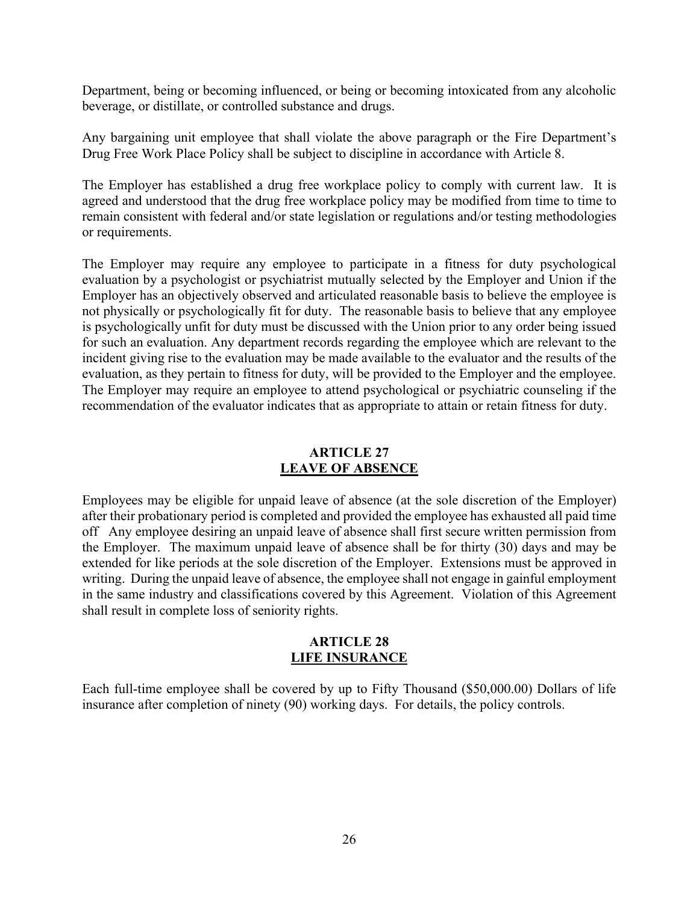Department, being or becoming influenced, or being or becoming intoxicated from any alcoholic beverage, or distillate, or controlled substance and drugs.

Any bargaining unit employee that shall violate the above paragraph or the Fire Department's Drug Free Work Place Policy shall be subject to discipline in accordance with Article 8.

The Employer has established a drug free workplace policy to comply with current law. It is agreed and understood that the drug free workplace policy may be modified from time to time to remain consistent with federal and/or state legislation or regulations and/or testing methodologies or requirements.

The Employer may require any employee to participate in a fitness for duty psychological evaluation by a psychologist or psychiatrist mutually selected by the Employer and Union if the Employer has an objectively observed and articulated reasonable basis to believe the employee is not physically or psychologically fit for duty. The reasonable basis to believe that any employee is psychologically unfit for duty must be discussed with the Union prior to any order being issued for such an evaluation. Any department records regarding the employee which are relevant to the incident giving rise to the evaluation may be made available to the evaluator and the results of the evaluation, as they pertain to fitness for duty, will be provided to the Employer and the employee. The Employer may require an employee to attend psychological or psychiatric counseling if the recommendation of the evaluator indicates that as appropriate to attain or retain fitness for duty.

# <span id="page-28-0"></span>**ARTICLE 27 LEAVE OF ABSENCE**

Employees may be eligible for unpaid leave of absence (at the sole discretion of the Employer) after their probationary period is completed and provided the employee has exhausted all paid time off Any employee desiring an unpaid leave of absence shall first secure written permission from the Employer. The maximum unpaid leave of absence shall be for thirty (30) days and may be extended for like periods at the sole discretion of the Employer. Extensions must be approved in writing. During the unpaid leave of absence, the employee shall not engage in gainful employment in the same industry and classifications covered by this Agreement. Violation of this Agreement shall result in complete loss of seniority rights.

# <span id="page-28-1"></span>**ARTICLE 28 LIFE INSURANCE**

Each full-time employee shall be covered by up to Fifty Thousand (\$50,000.00) Dollars of life insurance after completion of ninety (90) working days. For details, the policy controls.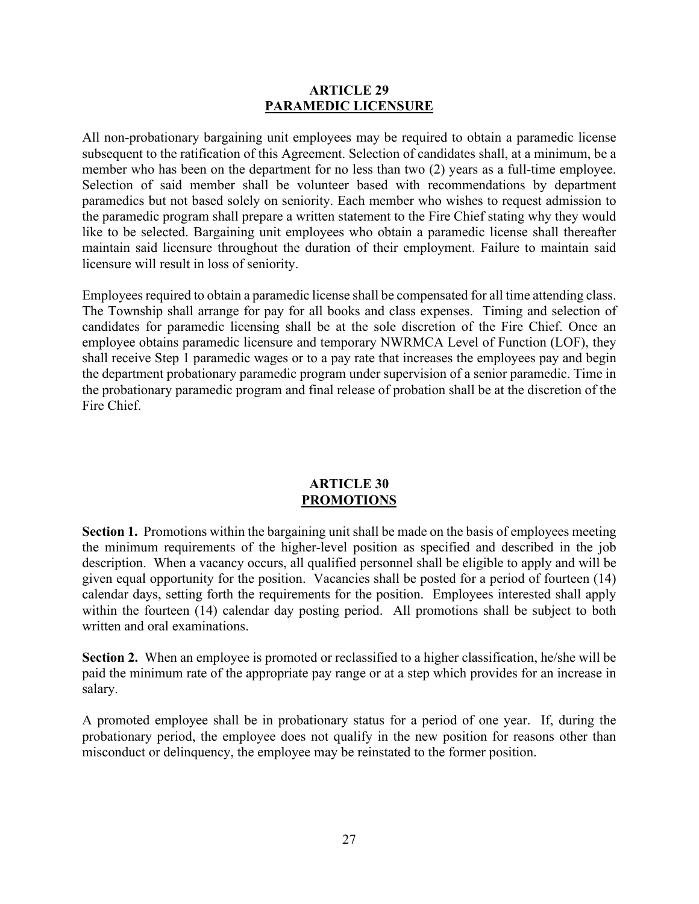#### **ARTICLE 29 PARAMEDIC LICENSURE**

All non-probationary bargaining unit employees may be required to obtain a paramedic license subsequent to the ratification of this Agreement. Selection of candidates shall, at a minimum, be a member who has been on the department for no less than two (2) years as a full-time employee. Selection of said member shall be volunteer based with recommendations by department paramedics but not based solely on seniority. Each member who wishes to request admission to the paramedic program shall prepare a written statement to the Fire Chief stating why they would like to be selected. Bargaining unit employees who obtain a paramedic license shall thereafter maintain said licensure throughout the duration of their employment. Failure to maintain said licensure will result in loss of seniority.

Employees required to obtain a paramedic license shall be compensated for all time attending class. The Township shall arrange for pay for all books and class expenses. Timing and selection of candidates for paramedic licensing shall be at the sole discretion of the Fire Chief. Once an employee obtains paramedic licensure and temporary NWRMCA Level of Function (LOF), they shall receive Step 1 paramedic wages or to a pay rate that increases the employees pay and begin the department probationary paramedic program under supervision of a senior paramedic. Time in the probationary paramedic program and final release of probation shall be at the discretion of the Fire Chief.

# <span id="page-29-0"></span>**ARTICLE 30 PROMOTIONS**

**Section 1.** Promotions within the bargaining unit shall be made on the basis of employees meeting the minimum requirements of the higher-level position as specified and described in the job description. When a vacancy occurs, all qualified personnel shall be eligible to apply and will be given equal opportunity for the position. Vacancies shall be posted for a period of fourteen (14) calendar days, setting forth the requirements for the position. Employees interested shall apply within the fourteen (14) calendar day posting period. All promotions shall be subject to both written and oral examinations.

**Section 2.** When an employee is promoted or reclassified to a higher classification, he/she will be paid the minimum rate of the appropriate pay range or at a step which provides for an increase in salary.

A promoted employee shall be in probationary status for a period of one year. If, during the probationary period, the employee does not qualify in the new position for reasons other than misconduct or delinquency, the employee may be reinstated to the former position.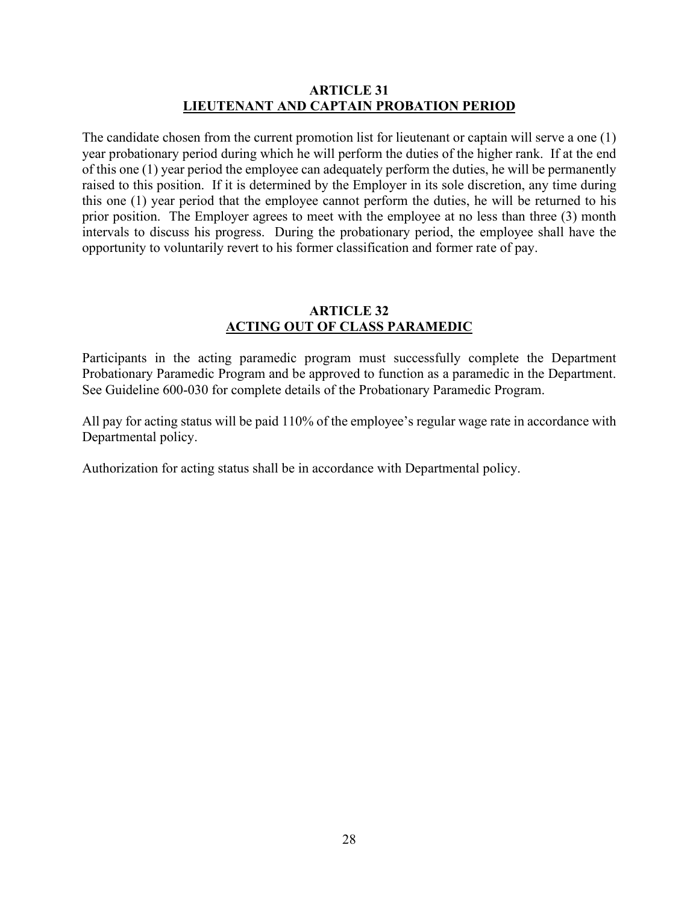# <span id="page-30-0"></span>**ARTICLE 31 LIEUTENANT AND CAPTAIN PROBATION PERIOD**

The candidate chosen from the current promotion list for lieutenant or captain will serve a one (1) year probationary period during which he will perform the duties of the higher rank. If at the end of this one (1) year period the employee can adequately perform the duties, he will be permanently raised to this position. If it is determined by the Employer in its sole discretion, any time during this one (1) year period that the employee cannot perform the duties, he will be returned to his prior position. The Employer agrees to meet with the employee at no less than three (3) month intervals to discuss his progress. During the probationary period, the employee shall have the opportunity to voluntarily revert to his former classification and former rate of pay.

# <span id="page-30-1"></span>**ARTICLE 32 ACTING OUT OF CLASS PARAMEDIC**

Participants in the acting paramedic program must successfully complete the Department Probationary Paramedic Program and be approved to function as a paramedic in the Department. See Guideline 600-030 for complete details of the Probationary Paramedic Program.

All pay for acting status will be paid 110% of the employee's regular wage rate in accordance with Departmental policy.

Authorization for acting status shall be in accordance with Departmental policy.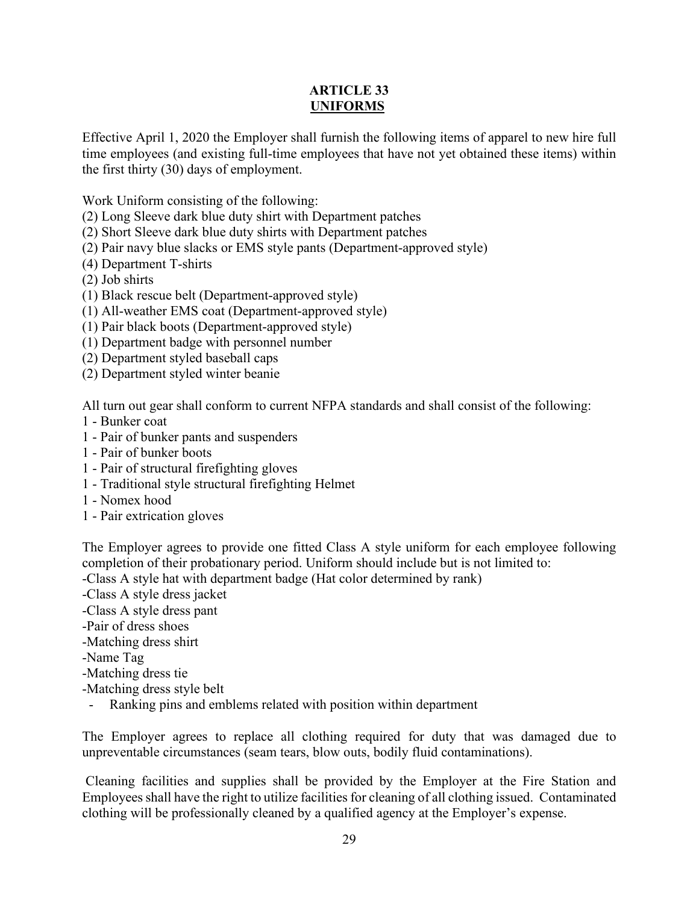# **ARTICLE 33 UNIFORMS**

Effective April 1, 2020 the Employer shall furnish the following items of apparel to new hire full time employees (and existing full-time employees that have not yet obtained these items) within the first thirty (30) days of employment.

Work Uniform consisting of the following:

- (2) Long Sleeve dark blue duty shirt with Department patches
- (2) Short Sleeve dark blue duty shirts with Department patches
- (2) Pair navy blue slacks or EMS style pants (Department-approved style)
- (4) Department T-shirts
- (2) Job shirts
- (1) Black rescue belt (Department-approved style)
- (1) All-weather EMS coat (Department-approved style)
- (1) Pair black boots (Department-approved style)
- (1) Department badge with personnel number
- (2) Department styled baseball caps
- (2) Department styled winter beanie

All turn out gear shall conform to current NFPA standards and shall consist of the following:

- 1 Bunker coat
- 1 Pair of bunker pants and suspenders
- 1 Pair of bunker boots
- 1 Pair of structural firefighting gloves
- 1 Traditional style structural firefighting Helmet
- 1 Nomex hood
- 1 Pair extrication gloves

The Employer agrees to provide one fitted Class A style uniform for each employee following completion of their probationary period. Uniform should include but is not limited to: -Class A style hat with department badge (Hat color determined by rank)

- -Class A style dress jacket
- -Class A style dress pant
- -Pair of dress shoes
- -Matching dress shirt
- -Name Tag
- -Matching dress tie
- -Matching dress style belt
- Ranking pins and emblems related with position within department

The Employer agrees to replace all clothing required for duty that was damaged due to unpreventable circumstances (seam tears, blow outs, bodily fluid contaminations).

Cleaning facilities and supplies shall be provided by the Employer at the Fire Station and Employees shall have the right to utilize facilities for cleaning of all clothing issued. Contaminated clothing will be professionally cleaned by a qualified agency at the Employer's expense.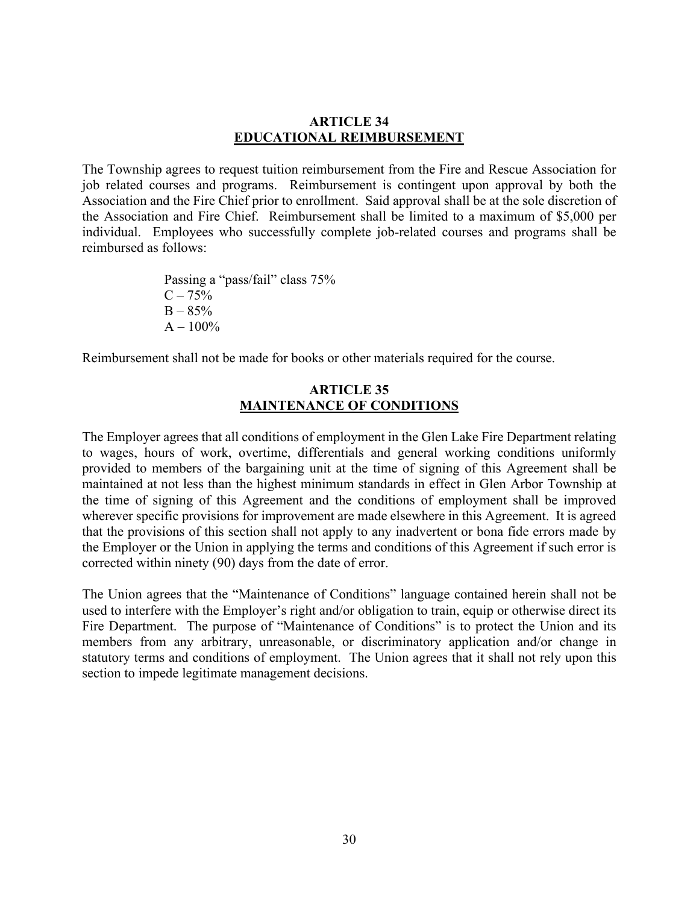### <span id="page-32-0"></span>**ARTICLE 34 EDUCATIONAL REIMBURSEMENT**

The Township agrees to request tuition reimbursement from the Fire and Rescue Association for job related courses and programs. Reimbursement is contingent upon approval by both the Association and the Fire Chief prior to enrollment. Said approval shall be at the sole discretion of the Association and Fire Chief. Reimbursement shall be limited to a maximum of \$5,000 per individual. Employees who successfully complete job-related courses and programs shall be reimbursed as follows:

> Passing a "pass/fail" class 75%  $C - 75%$  $B - 85%$  $A - 100\%$

Reimbursement shall not be made for books or other materials required for the course.

# <span id="page-32-1"></span>**ARTICLE 35 MAINTENANCE OF CONDITIONS**

The Employer agrees that all conditions of employment in the Glen Lake Fire Department relating to wages, hours of work, overtime, differentials and general working conditions uniformly provided to members of the bargaining unit at the time of signing of this Agreement shall be maintained at not less than the highest minimum standards in effect in Glen Arbor Township at the time of signing of this Agreement and the conditions of employment shall be improved wherever specific provisions for improvement are made elsewhere in this Agreement. It is agreed that the provisions of this section shall not apply to any inadvertent or bona fide errors made by the Employer or the Union in applying the terms and conditions of this Agreement if such error is corrected within ninety (90) days from the date of error.

The Union agrees that the "Maintenance of Conditions" language contained herein shall not be used to interfere with the Employer's right and/or obligation to train, equip or otherwise direct its Fire Department. The purpose of "Maintenance of Conditions" is to protect the Union and its members from any arbitrary, unreasonable, or discriminatory application and/or change in statutory terms and conditions of employment. The Union agrees that it shall not rely upon this section to impede legitimate management decisions.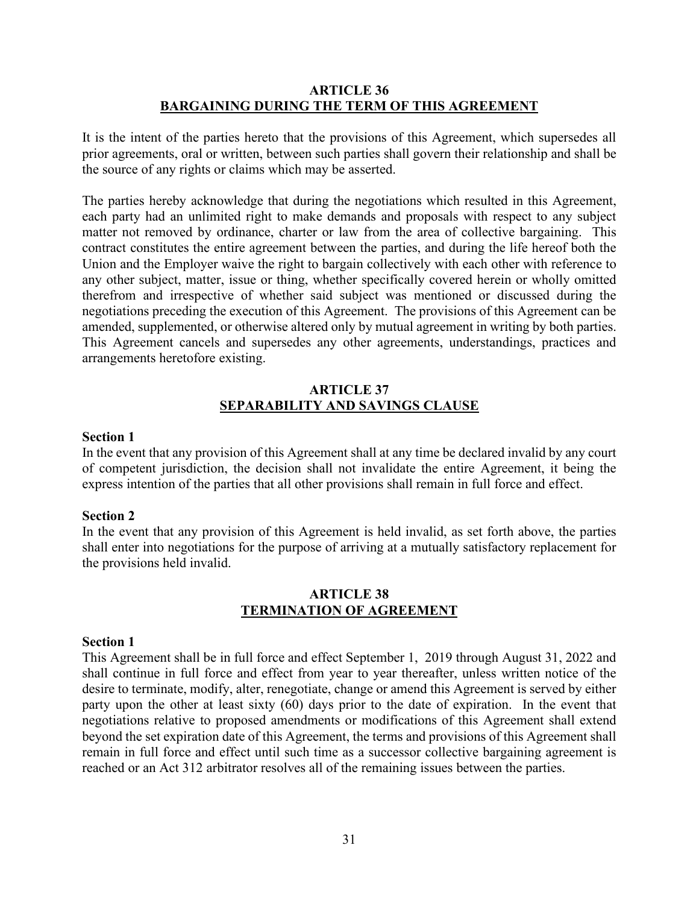# <span id="page-33-0"></span>**ARTICLE 36 BARGAINING DURING THE TERM OF THIS AGREEMENT**

It is the intent of the parties hereto that the provisions of this Agreement, which supersedes all prior agreements, oral or written, between such parties shall govern their relationship and shall be the source of any rights or claims which may be asserted.

The parties hereby acknowledge that during the negotiations which resulted in this Agreement, each party had an unlimited right to make demands and proposals with respect to any subject matter not removed by ordinance, charter or law from the area of collective bargaining. This contract constitutes the entire agreement between the parties, and during the life hereof both the Union and the Employer waive the right to bargain collectively with each other with reference to any other subject, matter, issue or thing, whether specifically covered herein or wholly omitted therefrom and irrespective of whether said subject was mentioned or discussed during the negotiations preceding the execution of this Agreement. The provisions of this Agreement can be amended, supplemented, or otherwise altered only by mutual agreement in writing by both parties. This Agreement cancels and supersedes any other agreements, understandings, practices and arrangements heretofore existing.

# <span id="page-33-1"></span>**ARTICLE 37 SEPARABILITY AND SAVINGS CLAUSE**

#### **Section 1**

In the event that any provision of this Agreement shall at any time be declared invalid by any court of competent jurisdiction, the decision shall not invalidate the entire Agreement, it being the express intention of the parties that all other provisions shall remain in full force and effect.

#### **Section 2**

In the event that any provision of this Agreement is held invalid, as set forth above, the parties shall enter into negotiations for the purpose of arriving at a mutually satisfactory replacement for the provisions held invalid.

# <span id="page-33-2"></span>**ARTICLE 38 TERMINATION OF AGREEMENT**

#### **Section 1**

This Agreement shall be in full force and effect September 1, 2019 through August 31, 2022 and shall continue in full force and effect from year to year thereafter, unless written notice of the desire to terminate, modify, alter, renegotiate, change or amend this Agreement is served by either party upon the other at least sixty (60) days prior to the date of expiration. In the event that negotiations relative to proposed amendments or modifications of this Agreement shall extend beyond the set expiration date of this Agreement, the terms and provisions of this Agreement shall remain in full force and effect until such time as a successor collective bargaining agreement is reached or an Act 312 arbitrator resolves all of the remaining issues between the parties.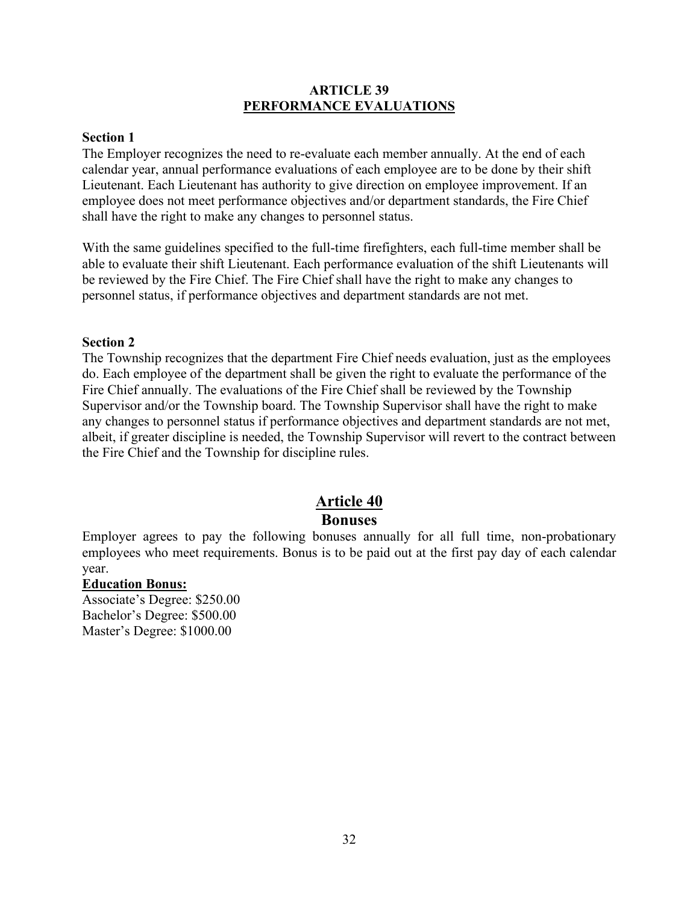# **ARTICLE 39 PERFORMANCE EVALUATIONS**

# **Section 1**

The Employer recognizes the need to re-evaluate each member annually. At the end of each calendar year, annual performance evaluations of each employee are to be done by their shift Lieutenant. Each Lieutenant has authority to give direction on employee improvement. If an employee does not meet performance objectives and/or department standards, the Fire Chief shall have the right to make any changes to personnel status.

With the same guidelines specified to the full-time firefighters, each full-time member shall be able to evaluate their shift Lieutenant. Each performance evaluation of the shift Lieutenants will be reviewed by the Fire Chief. The Fire Chief shall have the right to make any changes to personnel status, if performance objectives and department standards are not met.

#### **Section 2**

The Township recognizes that the department Fire Chief needs evaluation, just as the employees do. Each employee of the department shall be given the right to evaluate the performance of the Fire Chief annually. The evaluations of the Fire Chief shall be reviewed by the Township Supervisor and/or the Township board. The Township Supervisor shall have the right to make any changes to personnel status if performance objectives and department standards are not met, albeit, if greater discipline is needed, the Township Supervisor will revert to the contract between the Fire Chief and the Township for discipline rules.

# **Article 40 Bonuses**

Employer agrees to pay the following bonuses annually for all full time, non-probationary employees who meet requirements. Bonus is to be paid out at the first pay day of each calendar year.

#### **Education Bonus:**

Associate's Degree: \$250.00 Bachelor's Degree: \$500.00 Master's Degree: \$1000.00